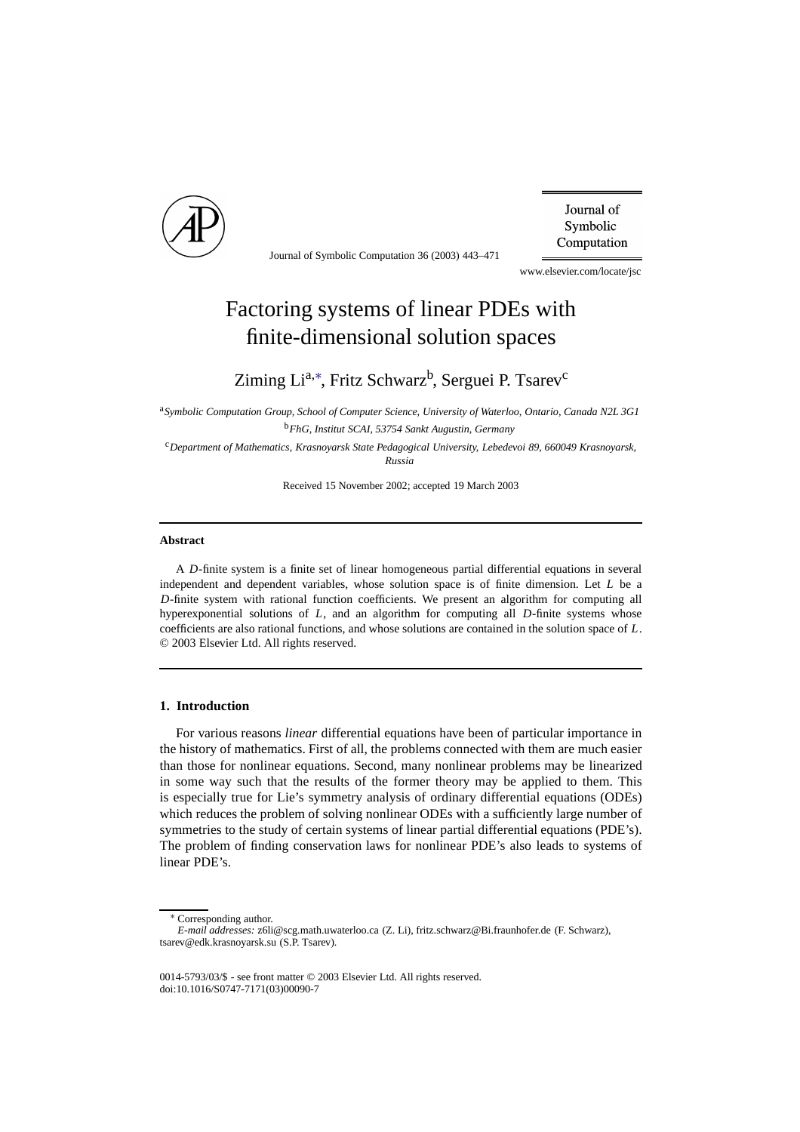

Journal of Symbolic Computation 36 (2003) 443–471

Journal of Symbolic Computation

www.elsevier.com/locate/jsc

# Factoring systems of linear PDEs with finite-dimensional solution spaces

## Ziming Li<sup>a,[∗](#page-0-0)</sup>, Fritz Schwarz<sup>b</sup>, Serguei P. Tsarev<sup>c</sup>

<sup>a</sup>*Symbolic Computation Group, School of Computer Science, University of Waterloo, Ontario, Canada N2L 3G1* <sup>b</sup>*FhG, Institut SCAI, 53754 Sankt Augustin, Germany*

<sup>c</sup>*Department of Mathematics, Krasnoyarsk State Pedagogical University, Lebedevoi 89, 660049 Krasnoyarsk, Russia*

Received 15 November 2002; accepted 19 March 2003

#### **Abstract**

A *D*-finite system is a finite set of linear homogeneous partial differential equations in several independent and dependent variables, whose solution space is of finite dimension. Let *L* be a *D*-finite system with rational function coefficients. We present an algorithm for computing all hyperexponential solutions of *L*, and an algorithm for computing all *D*-finite systems whose coefficients are also rational functions, and whose solutions are contained in the solution space of *L*. © 2003 Elsevier Ltd. All rights reserved.

#### **1. Introduction**

For various reasons *linear* differential equations have been of particular importance in the history of mathematics. First of all, the problems connected with them are much easier than those for nonlinear equations. Second, many nonlinear problems may be linearized in some way such that the results of the former theory may be applied to them. This is especially true for Lie's symmetry analysis of ordinary differential equations (ODEs) which reduces the problem of solving nonlinear ODEs with a sufficiently large number of symmetries to the study of certain systems of linear partial differential equations (PDE's). The problem of finding conservation laws for nonlinear PDE's also leads to systems of linear PDE's.

<sup>∗</sup> Corresponding author.

<span id="page-0-0"></span>*E-mail addresses:* z6li@scg.math.uwaterloo.ca (Z. Li), fritz.schwarz@Bi.fraunhofer.de (F. Schwarz), tsarev@edk.krasnoyarsk.su (S.P. Tsarev).

<sup>0014-5793/03/\$ -</sup> see front matter © 2003 Elsevier Ltd. All rights reserved. doi:10.1016/S0747-7171(03)00090-7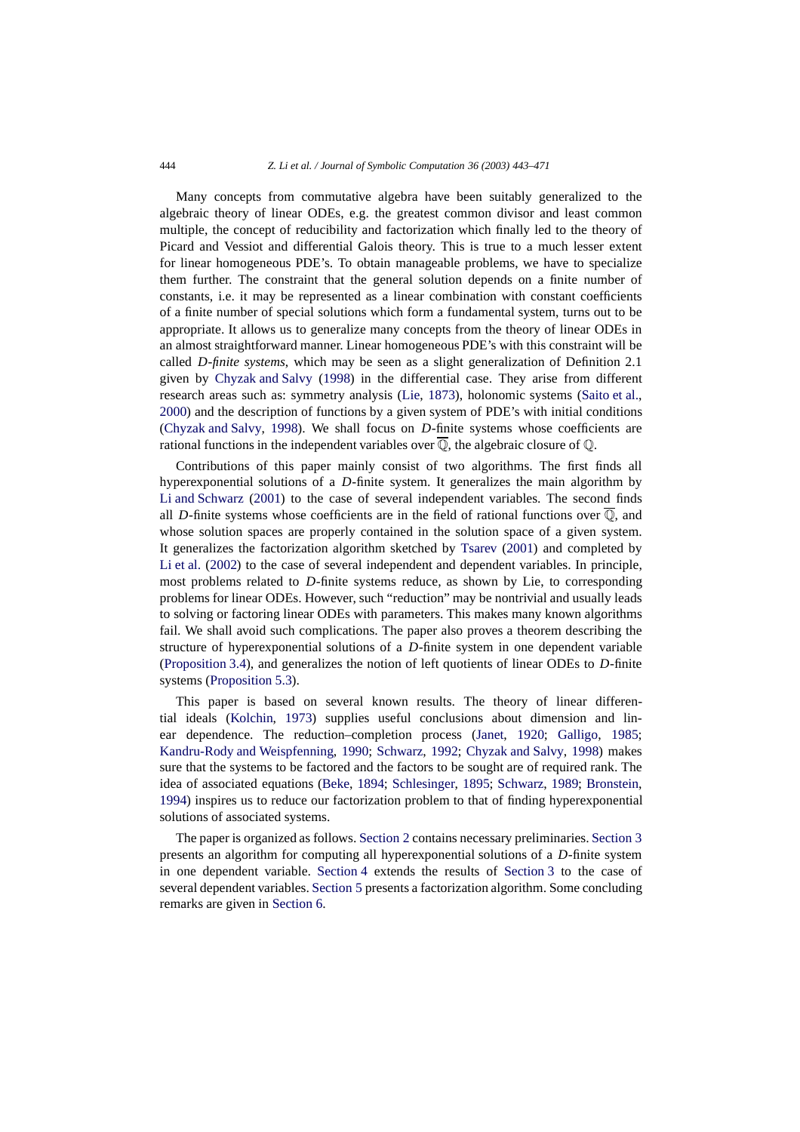Many concepts from commutative algebra have been suitably generalized to the algebraic theory of linear ODEs, e.g. the greatest common divisor and least common multiple, the concept of reducibility and factorization which finally led to the theory of Picard and Vessiot and differential Galois theory. This is true to a much lesser extent for linear homogeneous PDE's. To obtain manageable problems, we have to specialize them further. The constraint that the general solution depends on a finite number of constants, i.e. it may be represented as a linear combination with constant coefficients of a finite number of special solutions which form a fundamental system, turns out to be appropriate. It allows us to generalize many concepts from the theory of linear ODEs in an almost straightforward manner. Linear homogeneous PDE's with this constraint will be called *D-finite systems*, which may be seen as a slight generalization of Definition 2.1 given by [Chyzak and Salvy](#page-27-0) [\(1998\)](#page-27-0) in the differential case. They arise from different research areas such as: symmetry analysis [\(Lie](#page-28-0), [1873\)](#page-28-0), holonomic systems [\(Saito et al.,](#page-28-1) [2000\)](#page-28-1) and the description of functions by a given system of PDE's with initial conditions [\(Chyzak and Salvy,](#page-27-0) [1998\)](#page-27-0). We shall focus on *D*-finite systems whose coefficients are rational functions in the independent variables over  $\overline{Q}$ , the algebraic closure of  $Q$ .

Contributions of this paper mainly consist of two algorithms. The first finds all hyperexponential solutions of a *D*-finite system. It generalizes the main algorithm by [Li and Schwarz](#page-28-2) [\(2001\)](#page-28-2) to the case of several independent variables. The second finds all *D*-finite systems whose coefficients are in the field of rational functions over  $\overline{Q}$ , and whose solution spaces are properly contained in the solution space of a given system. It generalizes the factorization algorithm sketched by [Tsarev](#page-28-3) [\(2001\)](#page-28-3) and completed by [Li et al.](#page-28-4) [\(2002](#page-28-4)) to the case of several independent and dependent variables. In principle, most problems related to *D*-finite systems reduce, as shown by Lie, to corresponding problems for linear ODEs. However, such "reduction" may be nontrivial and usually leads to solving or factoring linear ODEs with parameters. This makes many known algorithms fail. We shall avoid such complications. The paper also proves a theorem describing the structure of hyperexponential solutions of a *D*-finite system in one dependent variable [\(Proposition 3.4\)](#page-8-0), and generalizes the notion of left quotients of linear ODEs to *D*-finite systems [\(Proposition 5.3\)](#page-20-0).

This paper is based on several known results. The theory of linear differential ideals [\(Kolchin](#page-28-5), [1973](#page-28-5)) supplies useful conclusions about dimension and linear dependence. The reduction–completion process [\(Janet,](#page-28-6) [1920;](#page-28-6) [Galligo,](#page-27-1) [1985;](#page-27-1) [Kandru-Rody and Weispfenning](#page-28-7), [1990](#page-28-7); [Schwarz,](#page-28-8) [1992;](#page-28-8) [Chyzak and Salvy](#page-27-0), [1998](#page-27-0)) makes sure that the systems to be factored and the factors to be sought are of required rank. The idea of associated equations [\(Beke,](#page-27-2) [1894;](#page-27-2) [Schlesinger,](#page-28-9) [1895](#page-28-9); [Schwarz,](#page-28-10) [1989](#page-28-10); [Bronstein,](#page-27-3) [1994\)](#page-27-3) inspires us to reduce our factorization problem to that of finding hyperexponential solutions of associated systems.

The paper is organized as follows. [Section 2](#page-2-0) contains necessary preliminaries. [Section 3](#page-4-0) presents an algorithm for computing all hyperexponential solutions of a *D*-finite system in one dependent variable. [Section 4](#page-16-0) extends the results of [Section 3](#page-4-0) to the case of several dependent variables. [Section 5](#page-17-0) presents a factorization algorithm. Some concluding remarks are given in [Section 6.](#page-26-0)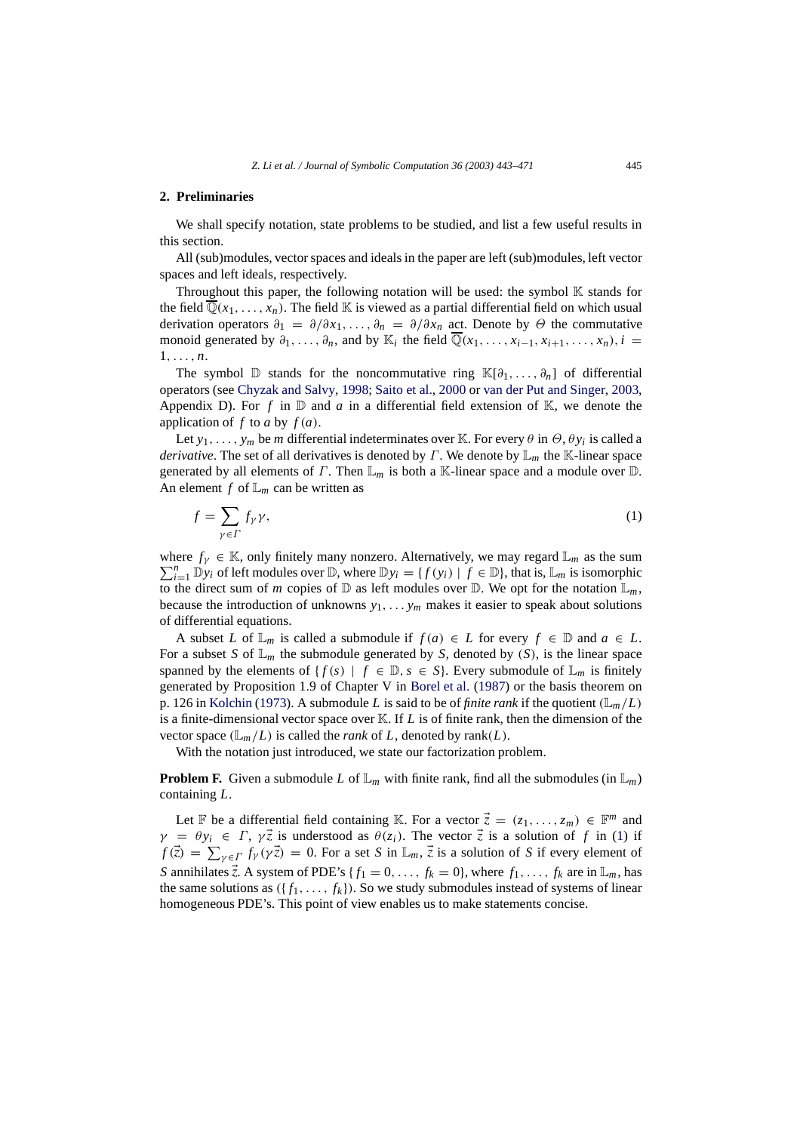#### <span id="page-2-0"></span>**2. Preliminaries**

We shall specify notation, state problems to be studied, and list a few useful results in this section.

All (sub)modules, vector spaces and ideals in the paper are left (sub)modules, left vector spaces and left ideals, respectively.

Throughout this paper, the following notation will be used: the symbol  $K$  stands for the field  $\overline{\mathbb{Q}}(x_1,\ldots,x_n)$ . The field K is viewed as a partial differential field on which usual derivation operators  $\partial_1 = \partial/\partial x_1, \ldots, \partial_n = \partial/\partial x_n$  act. Denote by  $\Theta$  the commutative monoid generated by  $\partial_1, \ldots, \partial_n$ , and by K<sub>i</sub> the field  $\overline{\mathbb{Q}}(x_1, \ldots, x_{i-1}, x_{i+1}, \ldots, x_n)$ ,  $i =$ 1,..., *n*.

The symbol D stands for the noncommutative ring  $\mathbb{K}[\partial_1,\ldots,\partial_n]$  of differential operators (see [Chyzak and Salvy](#page-27-0), [1998](#page-27-0); [Saito et al.,](#page-28-1) [2000](#page-28-1) or [van der Put and Singer](#page-28-11), [2003,](#page-28-11) Appendix D). For f in  $\mathbb D$  and a in a differential field extension of  $\mathbb K$ , we denote the application of  $f$  to  $a$  by  $f(a)$ .

Let  $y_1, \ldots, y_m$  be *m* differential indeterminates over K. For every  $\theta$  in  $\Theta$ ,  $\theta y_i$  is called a *derivative*. The set of all derivatives is denoted by Γ. We denote by L*<sup>m</sup>* the K-linear space generated by all elements of  $\Gamma$ . Then  $\mathbb{L}_m$  is both a K-linear space and a module over  $\mathbb{D}$ . An element  $f$  of  $\mathbb{L}_m$  can be written as

<span id="page-2-1"></span>
$$
f = \sum_{\gamma \in \Gamma} f_{\gamma} \gamma,\tag{1}
$$

where  $f_Y \in \mathbb{K}$ , only finitely many nonzero. Alternatively, we may regard  $\mathbb{L}_m$  as the sum  $\sum_{n=1}^{n}$   $\mathbb{L}_m$  is isomorphic  $\sum_{i=1}^{n} \mathbb{D}y_i$  of left modules over  $\mathbb{D}$ , where  $\mathbb{D}y_i = \{f(y_i) \mid f \in \mathbb{D}\}\$ , that is,  $\mathbb{L}_m$  is isomorphic to the direct sum of *m* copies of  $\mathbb{D}$  as left modules over  $\mathbb{D}$ . We opt for the notation  $\mathbb{L}_m$ , because the introduction of unknowns  $y_1, \ldots, y_m$  makes it easier to speak about solutions of differential equations.

A subset *L* of  $\mathbb{L}_m$  is called a submodule if  $f(a) \in L$  for every  $f \in \mathbb{D}$  and  $a \in L$ . For a subset *S* of  $\mathbb{L}_m$  the submodule generated by *S*, denoted by *(S)*, is the linear space spanned by the elements of  $\{f(s) \mid f \in \mathbb{D}, s \in S\}$ . Every submodule of  $\mathbb{L}_m$  is finitely generated by Proposition 1.9 of Chapter V in [Borel et al.](#page-27-4) [\(1987\)](#page-27-4) or the basis theorem on p. 126 in [Kolchin](#page-28-5) [\(1973](#page-28-5)). A submodule *L* is said to be of *finite rank* if the quotient  $(\mathbb{L}_m/L)$ is a finite-dimensional vector space over  $\mathbb K$ . If  $L$  is of finite rank, then the dimension of the vector space  $(\mathbb{L}_m/L)$  is called the *rank* of *L*, denoted by rank(*L*).

With the notation just introduced, we state our factorization problem.

<span id="page-2-2"></span>**Problem F.** Given a submodule *L* of  $\mathbb{L}_m$  with finite rank, find all the submodules (in  $\mathbb{L}_m$ ) containing *L*.

Let F be a differential field containing K. For a vector  $\vec{z} = (z_1, \ldots, z_m) \in \mathbb{F}^m$  and  $\gamma = \theta y_i \in \Gamma$ ,  $\gamma \vec{z}$  is understood as  $\theta(z_i)$ . The vector  $\vec{z}$  is a solution of f in [\(1\)](#page-2-1) if  $f(\vec{z}) = \sum_{\gamma \in \Gamma} f_{\gamma}(\gamma \vec{z}) = 0$ . For a set *S* in  $\mathbb{L}_m$ ,  $\vec{z}$  is a solution of *S* if every element of *S* annihilates  $\vec{z}$ . A system of PDE's { $f_1 = 0, \ldots, f_k = 0$ }, where  $f_1, \ldots, f_k$  are in  $\mathbb{L}_m$ , has the same solutions as  $({f_1, \ldots, f_k})$ . So we study submodules instead of systems of linear homogeneous PDE's. This point of view enables us to make statements concise.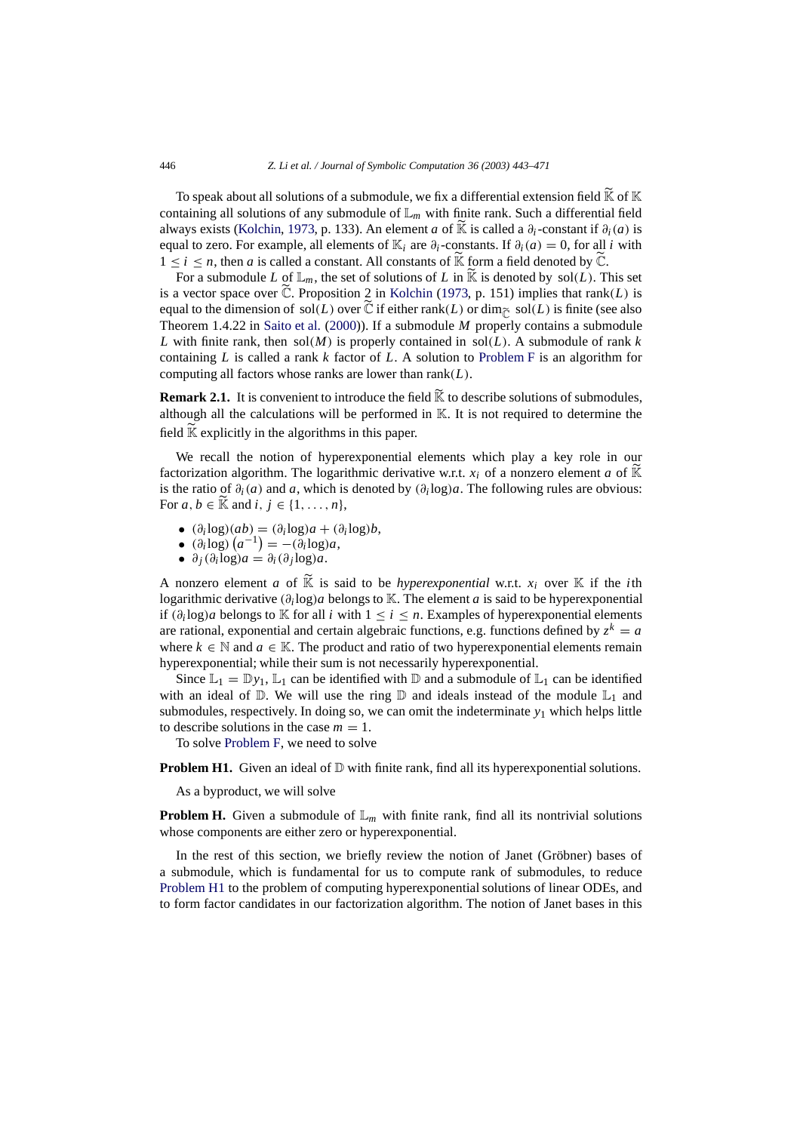To speak about all solutions of a submodule, we fix a differential extension field  $\widetilde{K}$  of  $\mathbb K$ containing all solutions of any submodule of  $\mathbb{L}_m$  with finite rank. Such a differential field always exists [\(Kolchin,](#page-28-5) [1973,](#page-28-5) p. 133). An element *a* of K is called a  $\partial_i$ -constant if  $\partial_i(a)$  is equal to zero. For example, all elements of K<sub>*i*</sub> are  $\partial_i$ -constants. If  $\partial_i(a) = 0$ , for all *i* with  $1 \leq i \leq n$ , then *a* is called a constant. All constants of  $\widetilde{K}$  form a field denoted by  $\widetilde{C}$ .

For a submodule *L* of  $\mathbb{L}_m$ , the set of solutions of *L* in  $\widetilde{\mathbb{K}}$  is denoted by sol(*L*). This set is a vector space over  $\tilde{\mathbb{C}}$ . Proposition 2 in [Kolchin](#page-28-5) [\(1973](#page-28-5), p. 151) implies that rank(*L*) is equal to the dimension of sol(*L*) over  $\tilde{C}$  if either rank(*L*) or dim<sub> $\tilde{C}$ </sub> sol(*L*) is finite (see also Theorem 1.4.22 in [Saito et al.](#page-28-1) [\(2000\)](#page-28-1)). If a submodule *M* properly contains a submodule *L* with finite rank, then sol(*M*) is properly contained in sol(*L*). A submodule of rank *k* containing *L* is called a rank *k* factor of *L*. A solution to [Problem F](#page-2-2) is an algorithm for computing all factors whose ranks are lower than rank(*L*).

**Remark 2.1.** It is convenient to introduce the field  $\widetilde{K}$  to describe solutions of submodules, although all the calculations will be performed in K. It is not required to determine the field  $\widetilde{K}$  explicitly in the algorithms in this paper.

We recall the notion of hyperexponential elements which play a key role in our factorization algorithm. The logarithmic derivative w.r.t.  $x_i$  of a nonzero element *a* of  $\mathbb{K}$ is the ratio of  $\partial_i(a)$  and *a*, which is denoted by  $(\partial_i \log a)$ . The following rules are obvious: For  $a, b \in \mathbb{K}$  and  $i, j \in \{1, \ldots, n\}$ ,

- (∂*<sup>i</sup>* log)(*ab*) = (∂*<sup>i</sup>* log)*a* + (∂*<sup>i</sup>* log)*b*,
- $(\partial_i \log)(a^{-1}) = -(\partial_i \log)a$ ,
- $\theta_i \frac{\partial_i(\partial_i \log a)}{\partial a} = \frac{\partial_i(\partial_i \log a)}{\partial a}$ .

A nonzero element *a* of  $\widetilde{K}$  is said to be *hyperexponential* w.r.t.  $x_i$  over  $K$  if the *i*th logarithmic derivative (∂*<sup>i</sup>* log)*a* belongs to K. The element *a* is said to be hyperexponential if  $(\partial_i \log)a$  belongs to K for all *i* with  $1 \le i \le n$ . Examples of hyperexponential elements are rational, exponential and certain algebraic functions, e.g. functions defined by  $z^k = a$ where  $k \in \mathbb{N}$  and  $a \in \mathbb{K}$ . The product and ratio of two hyperexponential elements remain hyperexponential; while their sum is not necessarily hyperexponential.

Since  $\mathbb{L}_1 = \mathbb{D}y_1$ ,  $\mathbb{L}_1$  can be identified with  $\mathbb{D}$  and a submodule of  $\mathbb{L}_1$  can be identified with an ideal of  $\mathbb D$ . We will use the ring  $\mathbb D$  and ideals instead of the module  $\mathbb L_1$  and submodules, respectively. In doing so, we can omit the indeterminate  $y_1$  which helps little to describe solutions in the case  $m = 1$ .

To solve [Problem F,](#page-2-2) we need to solve

<span id="page-3-0"></span>**Problem H1.** Given an ideal of  $D$  with finite rank, find all its hyperexponential solutions.

As a byproduct, we will solve

**Problem H.** Given a submodule of  $\mathbb{L}_m$  with finite rank, find all its nontrivial solutions whose components are either zero or hyperexponential.

In the rest of this section, we briefly review the notion of Janet (Gröbner) bases of a submodule, which is fundamental for us to compute rank of submodules, to reduce [Problem H1](#page-3-0) to the problem of computing hyperexponential solutions of linear ODEs, and to form factor candidates in our factorization algorithm. The notion of Janet bases in this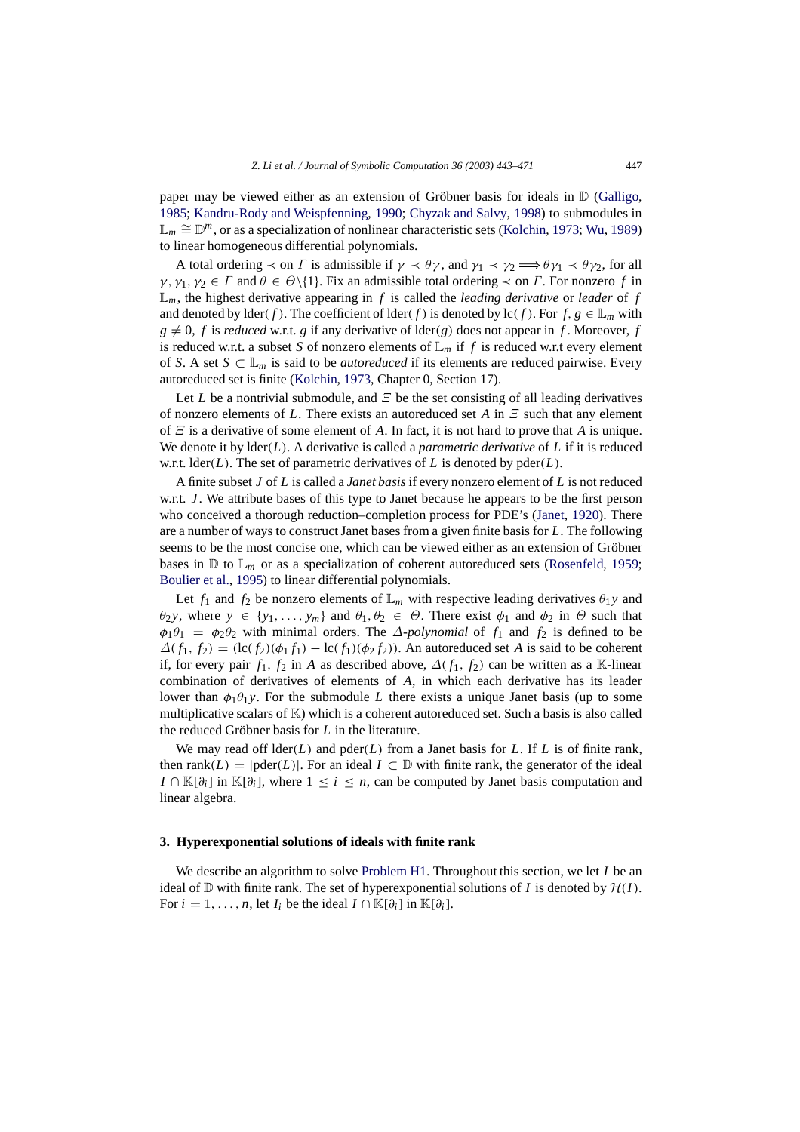paper may be viewed either as an extension of Gröbner basis for ideals in  $D$  [\(Galligo,](#page-27-1) [1985;](#page-27-1) [Kandru-Rody and Weispfenning,](#page-28-7) [1990;](#page-28-7) [Chyzak and Salvy](#page-27-0), [1998\)](#page-27-0) to submodules in L*<sup>m</sup>* ∼= D*m*, or as a specialization of nonlinear characteristic sets [\(Kolchin](#page-28-5), [1973;](#page-28-5) [Wu,](#page-28-12) [1989](#page-28-12)) to linear homogeneous differential polynomials.

A total ordering  $\prec$  on  $\Gamma$  is admissible if  $\gamma \prec \theta \gamma$ , and  $\gamma_1 \prec \gamma_2 \Longrightarrow \theta \gamma_1 \prec \theta \gamma_2$ , for all  $\gamma, \gamma_1, \gamma_2 \in \Gamma$  and  $\theta \in \Theta \setminus \{1\}$ . Fix an admissible total ordering  $\prec$  on  $\Gamma$ . For nonzero  $f$  in  $\mathbb{L}_m$ , the highest derivative appearing in *f* is called the *leading derivative* or *leader* of *f* and denoted by  $\text{lder}(f)$ . The coefficient of  $\text{lder}(f)$  is denoted by  $\text{lc}(f)$ . For  $f, g \in \mathbb{L}_m$  with  $g \neq 0$ , *f* is *reduced* w.r.t. *g* if any derivative of lder(*g*) does not appear in *f*. Moreover, *f* is reduced w.r.t. a subset *S* of nonzero elements of  $\mathbb{L}_m$  if *f* is reduced w.r.t every element of *S*. A set  $S \subset \mathbb{L}_m$  is said to be *autoreduced* if its elements are reduced pairwise. Every autoreduced set is finite [\(Kolchin,](#page-28-5) [1973,](#page-28-5) Chapter 0, Section 17).

Let *L* be a nontrivial submodule, and  $\Xi$  be the set consisting of all leading derivatives of nonzero elements of *L*. There exists an autoreduced set *A* in Ξ such that any element of  $\Xi$  is a derivative of some element of A. In fact, it is not hard to prove that A is unique. We denote it by lder(*L*). A derivative is called a *parametric derivative* of *L* if it is reduced w.r.t.  $\text{lder}(L)$ . The set of parametric derivatives of *L* is denoted by  $\text{pder}(L)$ .

A finite subset *J* of *L* is called a *Janet basis* if every nonzero element of *L* is not reduced w.r.t. *J*. We attribute bases of this type to Janet because he appears to be the first person who conceived a thorough reduction–completion process for PDE's [\(Janet,](#page-28-6) [1920\)](#page-28-6). There are a number of ways to construct Janet bases from a given finite basis for *L*. The following seems to be the most concise one, which can be viewed either as an extension of Gröbner bases in  $\mathbb D$  to  $\mathbb L_m$  or as a specialization of coherent autoreduced sets [\(Rosenfeld,](#page-28-13) [1959;](#page-28-13) [Boulier et al.,](#page-27-5) [1995\)](#page-27-5) to linear differential polynomials.

Let  $f_1$  and  $f_2$  be nonzero elements of  $\mathbb{L}_m$  with respective leading derivatives  $\theta_1 y$  and  $\theta_2$ *y*, where  $y \in \{y_1, \ldots, y_m\}$  and  $\theta_1, \theta_2 \in \Theta$ . There exist  $\phi_1$  and  $\phi_2$  in  $\Theta$  such that  $\phi_1 \theta_1 = \phi_2 \theta_2$  with minimal orders. The  $\Delta$ -polynomial of  $f_1$  and  $f_2$  is defined to be  $\Delta(f_1, f_2) = (\text{lc}(f_2)(\phi_1 f_1) - \text{lc}(f_1)(\phi_2 f_2))$ . An autoreduced set *A* is said to be coherent if, for every pair  $f_1$ ,  $f_2$  in *A* as described above,  $\Delta(f_1, f_2)$  can be written as a K-linear combination of derivatives of elements of *A*, in which each derivative has its leader lower than  $\phi_1 \theta_1 y$ . For the submodule *L* there exists a unique Janet basis (up to some multiplicative scalars of  $K$ ) which is a coherent autoreduced set. Such a basis is also called the reduced Gröbner basis for  $L$  in the literature.

We may read off  $\text{lder}(L)$  and  $\text{pder}(L)$  from a Janet basis for *L*. If *L* is of finite rank, then rank(*L*) =  $|\text{pder}(L)|$ . For an ideal  $I \subset \mathbb{D}$  with finite rank, the generator of the ideal *I* ∩ K[ $\partial_i$ ] in K[ $\partial_i$ ], where  $1 \leq i \leq n$ , can be computed by Janet basis computation and linear algebra.

#### <span id="page-4-0"></span>**3. Hyperexponential solutions of ideals with finite rank**

We describe an algorithm to solve [Problem H1.](#page-3-0) Throughout this section, we let *I* be an ideal of  $\mathbb D$  with finite rank. The set of hyperexponential solutions of *I* is denoted by  $\mathcal H(I)$ . For  $i = 1, \ldots, n$ , let  $I_i$  be the ideal  $I \cap \mathbb{K}[\partial_i]$  in  $\mathbb{K}[\partial_i]$ .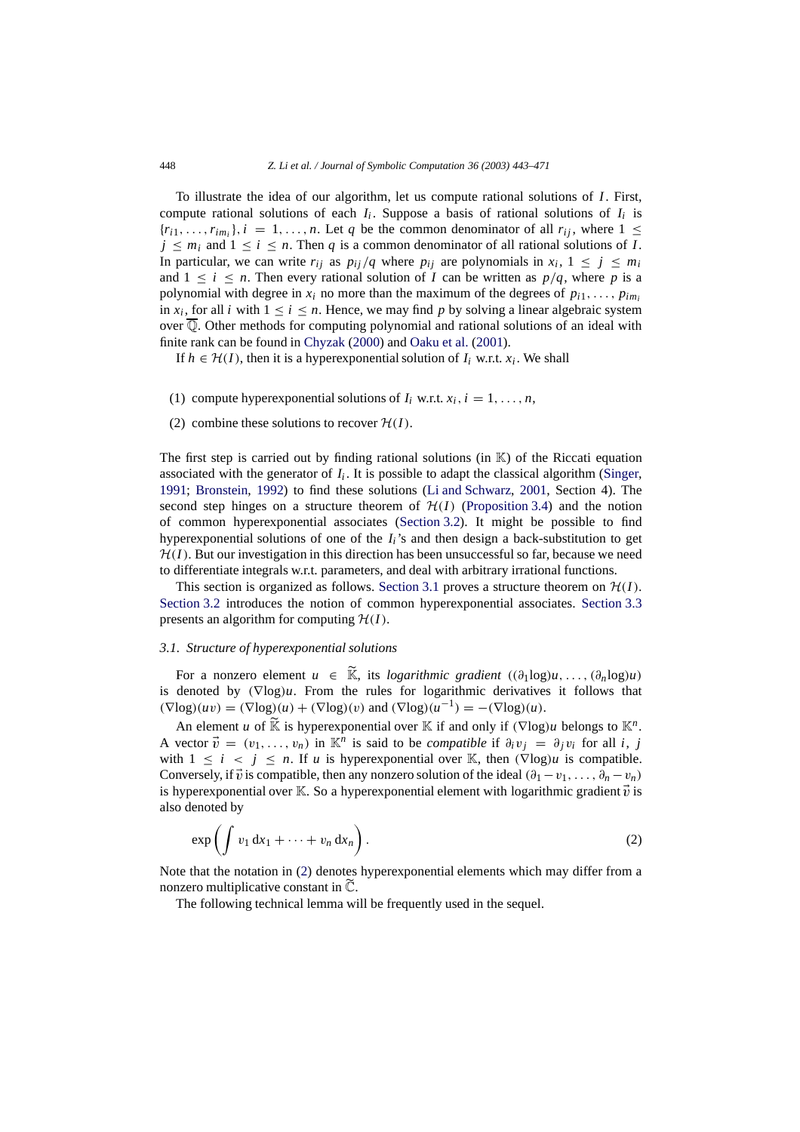To illustrate the idea of our algorithm, let us compute rational solutions of *I*. First, compute rational solutions of each  $I_i$ . Suppose a basis of rational solutions of  $I_i$  is  ${r_{i1}, \ldots, r_{im_i}}$ ,  $i = 1, \ldots, n$ . Let *q* be the common denominator of all  $r_{ii}$ , where  $1 \leq$  $j \leq m_i$  and  $1 \leq i \leq n$ . Then *q* is a common denominator of all rational solutions of *I*. In particular, we can write  $r_{ij}$  as  $p_{ij}/q$  where  $p_{ij}$  are polynomials in  $x_i$ ,  $1 \le j \le m_i$ and  $1 \leq i \leq n$ . Then every rational solution of *I* can be written as  $p/q$ , where p is a polynomial with degree in  $x_i$  no more than the maximum of the degrees of  $p_{i1}, \ldots, p_{im_i}$ in  $x_i$ , for all *i* with  $1 \le i \le n$ . Hence, we may find p by solving a linear algebraic system over Q. Other methods for computing polynomial and rational solutions of an ideal with finite rank can be found in [Chyzak](#page-27-6) [\(2000\)](#page-27-6) and [Oaku et al.](#page-28-14) [\(2001](#page-28-14)).

If  $h \in H(I)$ , then it is a hyperexponential solution of  $I_i$  w.r.t.  $x_i$ . We shall

- (1) compute hyperexponential solutions of  $I_i$  w.r.t.  $x_i$ ,  $i = 1, \ldots, n$ ,
- (2) combine these solutions to recover  $H(I)$ .

The first step is carried out by finding rational solutions (in  $K$ ) of the Riccati equation associated with the generator of  $I_i$ . It is possible to adapt the classical algorithm [\(Singer,](#page-28-15) [1991;](#page-28-15) [Bronstein](#page-27-7), [1992\)](#page-27-7) to find these solutions [\(Li and Schwarz](#page-28-2), [2001,](#page-28-2) Section 4). The second step hinges on a structure theorem of  $H(I)$  [\(Proposition 3.4\)](#page-8-0) and the notion of common hyperexponential associates [\(Section 3.2\)](#page-8-1). It might be possible to find hyperexponential solutions of one of the *Ii*'s and then design a back-substitution to get  $H(I)$ . But our investigation in this direction has been unsuccessful so far, because we need to differentiate integrals w.r.t. parameters, and deal with arbitrary irrational functions.

This section is organized as follows. [Section 3.1](#page-5-0) proves a structure theorem on  $\mathcal{H}(I)$ . [Section 3.2](#page-8-1) introduces the notion of common hyperexponential associates. [Section 3.3](#page-12-0) presents an algorithm for computing  $H(I)$ .

#### <span id="page-5-0"></span>*3.1. Structure of hyperexponential solutions*

For a nonzero element  $u \in \widetilde{\mathbb{K}}$ , its *logarithmic gradient*  $((\partial_1 \log)u, \ldots, (\partial_n \log)u)$ is denoted by (∇log)*u*. From the rules for logarithmic derivatives it follows that  $(\nabla \log(uv) = (\nabla \log)(u) + (\nabla \log)(v)$  and  $(\nabla \log)(u^{-1}) = -(\nabla \log)(u)$ .

An element *u* of K is hyperexponential over K if and only if  $(\nabla \log)u$  belongs to  $\mathbb{K}^n$ . A vector  $\vec{v} = (v_1, \ldots, v_n)$  in  $\mathbb{K}^n$  is said to be *compatible* if  $\partial_i v_i = \partial_i v_i$  for all *i*, *j* with  $1 \leq i \leq j \leq n$ . If *u* is hyperexponential over K, then  $(\nabla \log)u$  is compatible. Conversely, if  $\vec{v}$  is compatible, then any nonzero solution of the ideal  $(\partial_1 - v_1, \ldots, \partial_n - v_n)$ is hyperexponential over K. So a hyperexponential element with logarithmic gradient  $\vec{v}$  is also denoted by

<span id="page-5-1"></span>
$$
\exp\left(\int v_1 dx_1 + \dots + v_n dx_n\right). \tag{2}
$$

Note that the notation in [\(2\)](#page-5-1) denotes hyperexponential elements which may differ from a nonzero multiplicative constant in  $\tilde{\mathbb{C}}$ .

The following technical lemma will be frequently used in the sequel.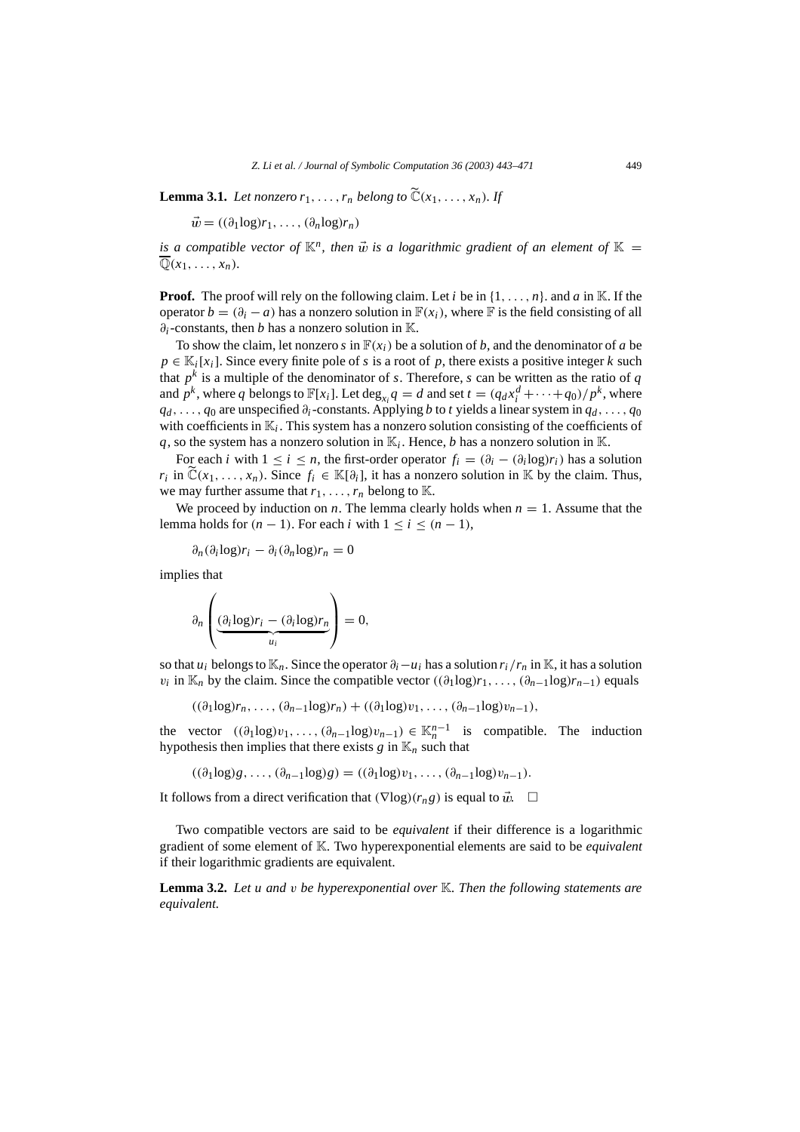<span id="page-6-0"></span>**Lemma 3.1.** *Let nonzero*  $r_1, \ldots, r_n$  *belong to*  $\widetilde{C}(x_1, \ldots, x_n)$ *. If* 

 $\vec{w} = ((\partial_1 \log r_1, \ldots, (\partial_n \log r_n))$ 

*is a compatible vector of*  $\mathbb{K}^n$ , then  $\vec{w}$  *is a logarithmic gradient of an element of*  $\mathbb{K}$  =  $\overline{\mathbb{Q}}(x_1,\ldots,x_n)$ .

**Proof.** The proof will rely on the following claim. Let *i* be in  $\{1, \ldots, n\}$ , and *a* in K. If the operator  $b = (\partial_i - a)$  has a nonzero solution in  $\mathbb{F}(x_i)$ , where  $\mathbb{F}$  is the field consisting of all ∂*i*-constants, then *b* has a nonzero solution in K.

To show the claim, let nonzero *s* in  $F(x_i)$  be a solution of *b*, and the denominator of *a* be  $p \in \mathbb{K}_i[x_i]$ . Since every finite pole of *s* is a root of *p*, there exists a positive integer *k* such that  $p^k$  is a multiple of the denominator of *s*. Therefore, *s* can be written as the ratio of *q* and  $p^k$ , where *q* belongs to  $\mathbb{F}[x_i]$ . Let  $\deg_{x_i} q = d$  and set  $t = (q_d x_i^d + \cdots + q_0)/p^k$ , where  $q_d$ , ...,  $q_0$  are unspecified  $\partial_i$ -constants. Applying *b* to *t* yields a linear system in  $q_d$ , ...,  $q_0$ with coefficients in  $\mathbb{K}_i$ . This system has a nonzero solution consisting of the coefficients of  $q$ , so the system has a nonzero solution in  $\mathbb{K}_i$ . Hence, *b* has a nonzero solution in  $\mathbb{K}$ .

For each *i* with  $1 \le i \le n$ , the first-order operator  $f_i = (\partial_i - (\partial_i \log) r_i)$  has a solution *r<sub>i</sub>* in  $\mathbb{C}(x_1,\ldots,x_n)$ . Since  $f_i \in \mathbb{K}[\partial_i]$ , it has a nonzero solution in K by the claim. Thus, we may further assume that  $r_1, \ldots, r_n$  belong to K.

We proceed by induction on *n*. The lemma clearly holds when  $n = 1$ . Assume that the lemma holds for  $(n - 1)$ . For each *i* with  $1 \le i \le (n - 1)$ ,

∂*n*(∂*<sup>i</sup>* log)*ri* − ∂*i*(∂*n*log)*rn* = 0

implies that

$$
\partial_n \left( \underbrace{(\partial_i \log) r_i - (\partial_i \log) r_n}_{u_i} \right) = 0,
$$

so that *u<sub>i</sub>* belongs to  $\mathbb{K}_n$ . Since the operator  $\partial_i - u_i$  has a solution  $r_i/r_n$  in  $\mathbb{K}$ , it has a solution  $v_i$  in  $\mathbb{K}_n$  by the claim. Since the compatible vector  $((\partial_1 \log)r_1, \ldots, (\partial_{n-1} \log)r_{n-1})$  equals

 $((\partial_1 \log)r_n, \ldots, (\partial_{n-1} \log r_n) + ((\partial_1 \log v_1, \ldots, (\partial_{n-1} \log v_{n-1}),$ 

the vector  $((\partial_1 \log v_1, \ldots, (\partial_{n-1} \log v_{n-1}) \in \mathbb{K}_n^{n-1}$  is compatible. The induction hypothesis then implies that there exists  $g$  in  $\mathbb{K}_n$  such that

<span id="page-6-1"></span> $((\partial_1 \log)g, \ldots, (\partial_{n-1} \log)g) = ((\partial_1 \log)v_1, \ldots, (\partial_{n-1} \log)v_{n-1}).$ 

It follows from a direct verification that  $(\nabla \log)(r_n g)$  is equal to  $\vec{w}$ . □

Two compatible vectors are said to be *equivalent* if their difference is a logarithmic gradient of some element of K. Two hyperexponential elements are said to be *equivalent* if their logarithmic gradients are equivalent.

**Lemma 3.2.** *Let u and* v *be hyperexponential over* K*. Then the following statements are equivalent.*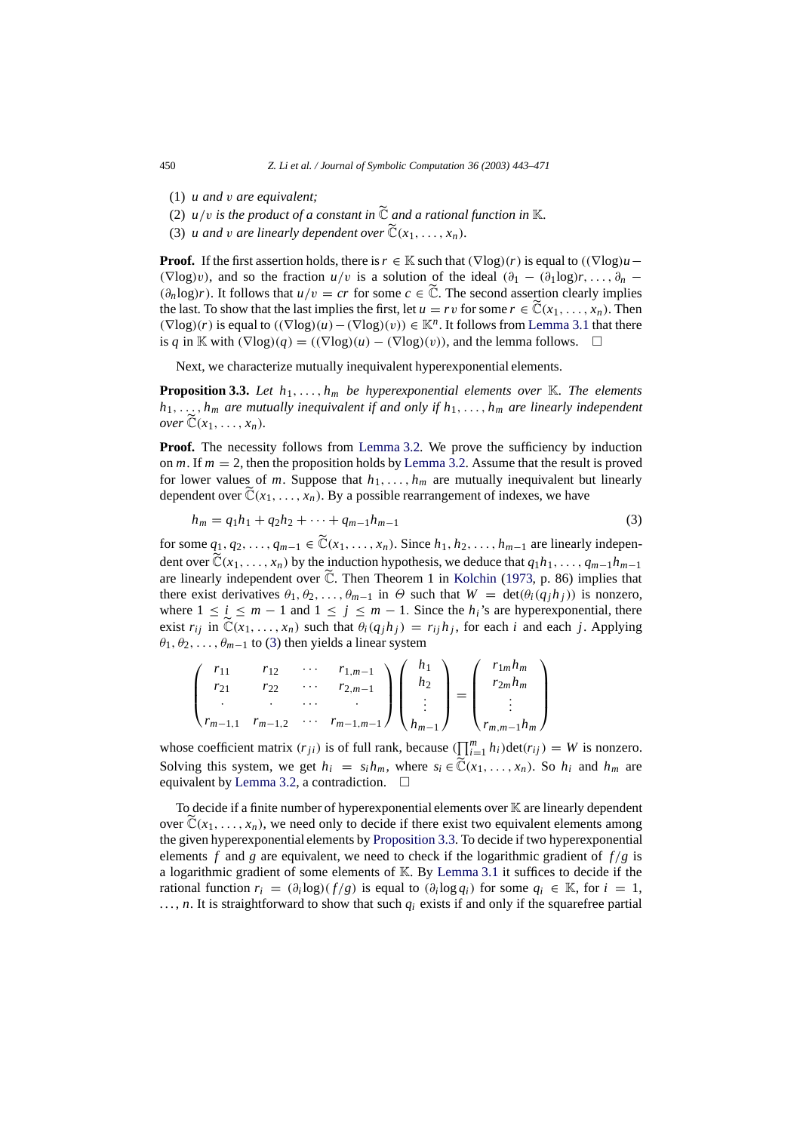- (1) *u and* v *are equivalent;*
- (2)  $u/v$  *is the product of a constant in*  $\widetilde{C}$  *and a rational function in* K.
- (3) *u and v are linearly dependent over*  $\widetilde{C}(x_1, \ldots, x_n)$ *.*

**Proof.** If the first assertion holds, there is  $r \in \mathbb{K}$  such that  $(\nabla \log)(r)$  is equal to  $((\nabla \log)u (\nabla \log(v))$ , and so the fraction *u*/v is a solution of the ideal  $(\partial_1 - (\partial_1 \log)(r, \ldots, \partial_n (\partial_n \log r)$ . It follows that  $u/v = cr$  for some  $c \in \tilde{\mathbb{C}}$ . The second assertion clearly implies the last. To show that the last implies the first, let  $u = rv$  for some  $r \in \mathbb{C}(x_1, \ldots, x_n)$ . Then  $(\nabla \log)(r)$  is equal to  $((\nabla \log)(u) - (\nabla \log)(v)) \in \mathbb{K}^n$ . It follows from [Lemma 3.1](#page-6-0) that there is *q* in K with  $(\nabla \log)(q) = ((\nabla \log)(u) - (\nabla \log)(v))$ , and the lemma follows. □

<span id="page-7-1"></span>Next, we characterize mutually inequivalent hyperexponential elements.

**Proposition 3.3.** Let  $h_1, \ldots, h_m$  be hyperexponential elements over K. The elements  $h_1, \ldots, h_m$  *are mutually inequivalent if and only if*  $h_1, \ldots, h_m$  *are linearly independent over*  $\mathbb{C}(x_1, \ldots, x_n)$ .

**Proof.** The necessity follows from [Lemma 3.2.](#page-6-1) We prove the sufficiency by induction on  $m$ . If  $m = 2$ , then the proposition holds by [Lemma 3.2.](#page-6-1) Assume that the result is proved for lower values of *m*. Suppose that  $h_1, \ldots, h_m$  are mutually inequivalent but linearly dependent over  $\tilde{\mathbb{C}}(x_1,\ldots,x_n)$ . By a possible rearrangement of indexes, we have

<span id="page-7-0"></span>
$$
h_m = q_1 h_1 + q_2 h_2 + \dots + q_{m-1} h_{m-1}
$$
\n(3)

for some  $q_1, q_2, \ldots, q_{m-1} \in \tilde{C}(x_1, \ldots, x_n)$ . Since  $h_1, h_2, \ldots, h_{m-1}$  are linearly independent over  $\widetilde{\mathbb{C}}(x_1,\ldots,x_n)$  by the induction hypothesis, we deduce that  $q_1h_1,\ldots,q_{m-1}h_{m-1}$ are linearly independent over  $\tilde{\mathbb{C}}$ . Then Theorem 1 in [Kolchin](#page-28-5) [\(1973](#page-28-5), p. 86) implies that there exist derivatives  $\theta_1, \theta_2, \ldots, \theta_{m-1}$  in  $\Theta$  such that  $W = \det(\theta_i(q_j h_j))$  is nonzero, where  $1 \le i \le m - 1$  and  $1 \le j \le m - 1$ . Since the  $h_i$ 's are hyperexponential, there exist  $r_{ij}$  in  $\mathbb{C}(x_1,\ldots,x_n)$  such that  $\theta_i(q_jh_j) = r_{ij}h_j$ , for each *i* and each *j*. Applying  $\theta_1, \theta_2, \ldots, \theta_{m-1}$  to [\(3\)](#page-7-0) then yields a linear system

$$
\begin{pmatrix}\nr_{11} & r_{12} & \cdots & r_{1,m-1} \\
r_{21} & r_{22} & \cdots & r_{2,m-1} \\
\vdots & \vdots & \ddots & \vdots \\
r_{m-1,1} & r_{m-1,2} & \cdots & r_{m-1,m-1}\n\end{pmatrix}\n\begin{pmatrix}\nh_1 \\
h_2 \\
\vdots \\
h_{m-1}\n\end{pmatrix}\n=\n\begin{pmatrix}\nr_{1m}h_m \\
r_{2m}h_m \\
\vdots \\
r_{m,m-1}h_m\n\end{pmatrix}
$$

whose coefficient matrix  $(r_{ji})$  is of full rank, because  $(\prod_{i=1}^{m} h_i)$ det $(r_{ij}) = W$  is nonzero. Solving this system, we get  $h_i = s_i h_m$ , where  $s_i \in \tilde{C}(x_1, \ldots, x_n)$ . So  $h_i$  and  $h_m$  are equivalent by [Lemma 3.2,](#page-6-1) a contradiction.  $\Box$ 

To decide if a finite number of hyperexponential elements over  $\mathbb K$  are linearly dependent over  $\tilde{\mathbb{C}}(x_1,\ldots,x_n)$ , we need only to decide if there exist two equivalent elements among the given hyperexponential elements by [Proposition 3.3.](#page-7-1) To decide if two hyperexponential elements *f* and *g* are equivalent, we need to check if the logarithmic gradient of  $f/g$  is a logarithmic gradient of some elements of  $K$ . By [Lemma 3.1](#page-6-0) it suffices to decide if the rational function  $r_i = (\partial_i \log)(f/g)$  is equal to  $(\partial_i \log q_i)$  for some  $q_i \in \mathbb{K}$ , for  $i = 1$ ,  $..., n$ . It is straightforward to show that such  $q_i$  exists if and only if the squarefree partial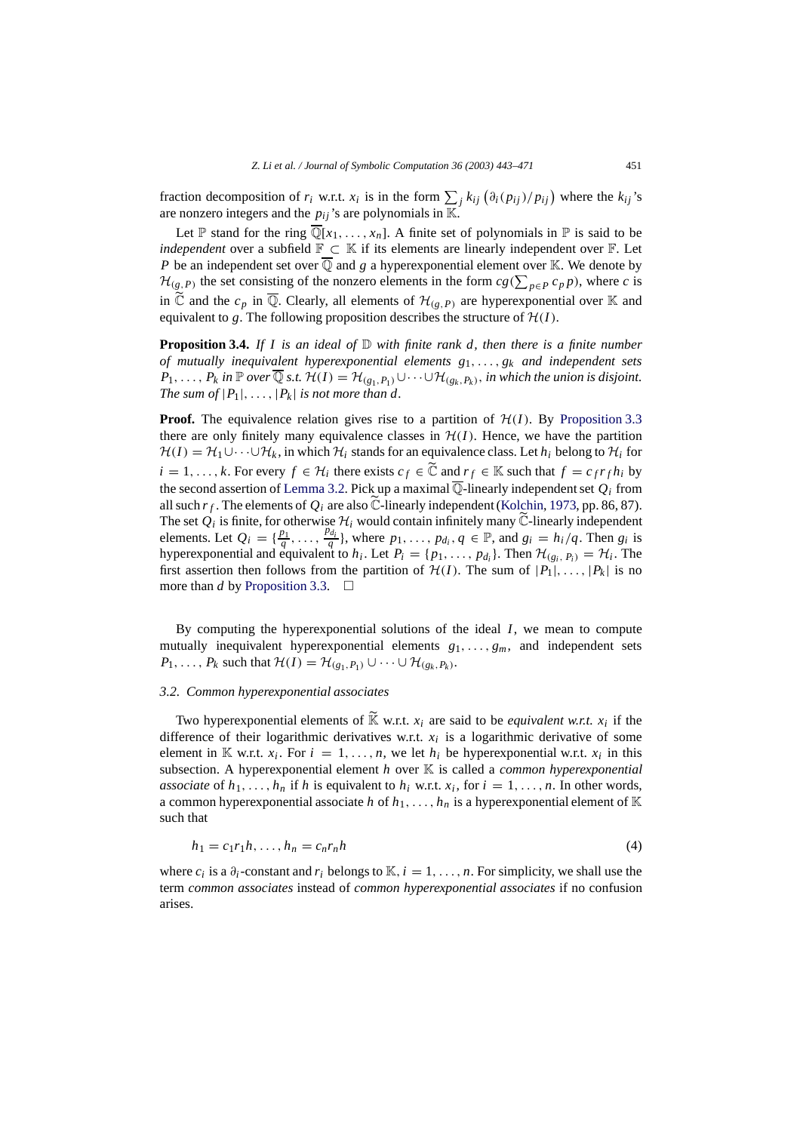fraction decomposition of  $r_i$  w.r.t.  $x_i$  is in the form  $\sum_j k_{ij} (\partial_i (p_{ij})/p_{ij})$  where the  $k_{ij}$ 's are nonzero integers and the  $p_{ij}$ 's are polynomials in  $\mathbb{K}$ .

Let  $\mathbb P$  stand for the ring  $\overline{\mathbb Q}[x_1,\ldots,x_n]$ . A finite set of polynomials in  $\mathbb P$  is said to be *independent* over a subfield  $\mathbb{F} \subset \mathbb{K}$  if its elements are linearly independent over  $\mathbb{F}$ . Let *P* be an independent set over  $\overline{Q}$  and *g* a hyperexponential element over K. We denote by  $\mathcal{H}_{(g,P)}$  the set consisting of the nonzero elements in the form  $cg(\sum_{p\in P}c_p p)$ , where *c* is in  $\tilde{C}$  and the  $c_p$  in  $\overline{Q}$ . Clearly, all elements of  $\mathcal{H}_{(g,P)}$  are hyperexponential over K and equivalent to *g*. The following proposition describes the structure of  $H(I)$ .

<span id="page-8-0"></span>**Proposition 3.4.** *If I is an ideal of*  $D$  *with finite rank d, then there is a finite number of mutually inequivalent hyperexponential elements g*1,..., *gk and independent sets P*<sub>1</sub>,..., *P<sub>k</sub> in*  $\mathbb P$  *over*  $\overline{\mathbb Q}$  *s.t. H*(*I*) = *H*<sub>(*g*1</sub>, *P*<sub>1</sub>)</sub> ∪···∪*H*<sub>(*g<sub>k</sub>*, *P<sub>k</sub>*), *in which the union is disjoint.*</sub> *The sum of*  $|P_1|, \ldots, |P_k|$  *is not more than d.* 

**Proof.** The equivalence relation gives rise to a partition of  $H(I)$ . By [Proposition 3.3](#page-7-1) there are only finitely many equivalence classes in  $H(I)$ . Hence, we have the partition  $H(I) = H_1 \cup \cdots \cup H_k$ , in which  $H_i$  stands for an equivalence class. Let  $h_i$  belong to  $H_i$  for *i* = 1, ..., *k*. For every *f* ∈ *H*<sub>*i*</sub> there exists *c f* ∈  $\tilde{C}$  and  $r_f$  ∈  $\mathbb{K}$  such that  $f = c_f r_f h_i$  by the second assertion of [Lemma 3.2.](#page-6-1) Pick up a maximal  $\overline{Q}$ -linearly independent set  $Q_i$  from all such  $r_f$ . The elements of  $Q_i$  are also  $\tilde{C}$ -linearly independent [\(Kolchin](#page-28-5), [1973,](#page-28-5) pp. 86, 87). The set  $\mathcal{Q}_i$  is finite, for otherwise  $\mathcal{H}_i$  would contain infinitely many  $\widetilde{\mathbb{C}}$ -linearly independent elements. Let  $Q_i = \{\frac{p_1}{q}, \ldots, \frac{p_{d_i}}{q}\}$ , where  $p_1, \ldots, p_{d_i}, q \in \mathbb{P}$ , and  $g_i = h_i/q$ . Then  $g_i$  is hyperexponential and equivalent to  $h_i$ . Let  $P_i = \{p_1, \ldots, p_{d_i}\}$ . Then  $\mathcal{H}_{(g_i, P_i)} = \mathcal{H}_i$ . The first assertion then follows from the partition of  $H(I)$ . The sum of  $|P_1|, \ldots, |P_k|$  is no more than *d* by [Proposition 3.3.](#page-7-1)  $\Box$ 

By computing the hyperexponential solutions of the ideal *I*, we mean to compute mutually inequivalent hyperexponential elements *g*1,..., *gm*, and independent sets *P*<sub>1</sub>, ..., *P*<sub>*k*</sub> such that *H*(*I*) = *H*<sub>(*g*<sub>1</sub>, *P*<sub>1</sub></sub>)</sub> ∪ ···∪ *H*<sub>(*g<sub>k</sub>*, *P<sub>k</sub>*).</sub>

#### <span id="page-8-1"></span>*3.2. Common hyperexponential associates*

Two hyperexponential elements of  $\widetilde{K}$  w.r.t.  $x_i$  are said to be *equivalent w.r.t.*  $x_i$  if the difference of their logarithmic derivatives w.r.t.  $x_i$  is a logarithmic derivative of some element in  $\mathbb{K}$  w.r.t.  $x_i$ . For  $i = 1, \ldots, n$ , we let  $h_i$  be hyperexponential w.r.t.  $x_i$  in this subsection. A hyperexponential element *h* over K is called a *common hyperexponential associate* of  $h_1, \ldots, h_n$  if *h* is equivalent to  $h_i$  w.r.t.  $x_i$ , for  $i = 1, \ldots, n$ . In other words, a common hyperexponential associate *h* of  $h_1, \ldots, h_n$  is a hyperexponential element of K such that

$$
h_1 = c_1 r_1 h, \dots, h_n = c_n r_n h \tag{4}
$$

<span id="page-8-2"></span>where  $c_i$  is a  $\partial_i$ -constant and  $r_i$  belongs to K,  $i = 1, \ldots, n$ . For simplicity, we shall use the term *common associates* instead of *common hyperexponential associates* if no confusion arises.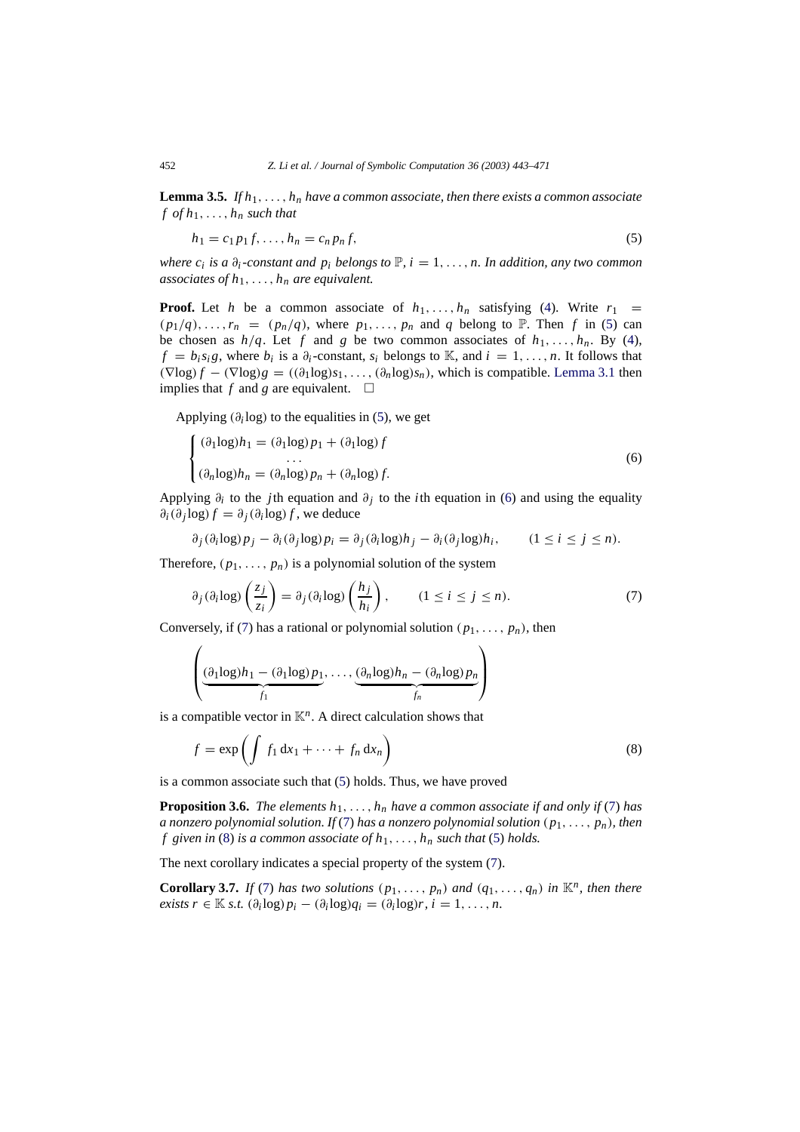<span id="page-9-5"></span>**Lemma 3.5.** *If h*1,..., *hn have a common associate, then there exists a common associate*  $f$  *of*  $h_1$ , ...,  $h_n$  *such that* 

<span id="page-9-0"></span>
$$
h_1 = c_1 p_1 f, \dots, h_n = c_n p_n f,\tag{5}
$$

*where c<sub>i</sub> is a*  $\partial_i$ -constant and  $p_i$  *belongs to*  $\mathbb{P}$ ,  $i = 1, \ldots, n$ . In addition, any two common *associates of h*1,..., *hn are equivalent.*

**Proof.** Let *h* be a common associate of  $h_1, \ldots, h_n$  satisfying [\(4\)](#page-8-2). Write  $r_1$  $(p_1/q), \ldots, r_n = (p_n/q)$ , where  $p_1, \ldots, p_n$  and *q* belong to  $\mathbb P$ . Then *f* in [\(5\)](#page-9-0) can be chosen as  $h/q$ . Let f and g be two common associates of  $h_1, \ldots, h_n$ . By [\(4\)](#page-8-2),  $f = b_i s_i g$ , where  $b_i$  is a  $\partial_i$ -constant,  $s_i$  belongs to K, and  $i = 1, \ldots, n$ . It follows that  $(\nabla \log f - (\nabla \log g) = ((\partial_1 \log s_1, \ldots, (\partial_n \log s_n))$ , which is compatible. [Lemma 3.1](#page-6-0) then implies that  $f$  and  $g$  are equivalent.  $\Box$ 

Applying  $(\partial_i \log)$  to the equalities in [\(5\)](#page-9-0), we get

<span id="page-9-1"></span>
$$
\begin{cases}\n(\partial_1 \log h_1 = (\partial_1 \log p_1 + (\partial_1 \log f) - \dots) \\
\dots \\
(\partial_n \log h_n = (\partial_n \log p_n + (\partial_n \log f).\n\end{cases}
$$
\n(6)

Applying  $\partial_i$  to the *j*th equation and  $\partial_i$  to the *i*th equation in [\(6\)](#page-9-1) and using the equality  $\partial_i(\partial_j \log f) = \partial_j(\partial_i \log f)$ , we deduce

$$
\partial_j(\partial_i \log p_j - \partial_i(\partial_j \log p_i = \partial_j(\partial_i \log h_j - \partial_i(\partial_j \log h_i, \qquad (1 \le i \le j \le n)).
$$

Therefore,  $(p_1, \ldots, p_n)$  is a polynomial solution of the system

<span id="page-9-2"></span>
$$
\partial_j(\partial_i \log)\left(\frac{z_j}{z_i}\right) = \partial_j(\partial_i \log)\left(\frac{h_j}{h_i}\right), \qquad (1 \le i \le j \le n). \tag{7}
$$

Conversely, if [\(7\)](#page-9-2) has a rational or polynomial solution  $(p_1, \ldots, p_n)$ , then

$$
\left(\underbrace{\left(\partial_1 \log\right)h_1 - \left(\partial_1 \log\right) p_1}_{f_1}, \dots, \underbrace{\left(\partial_n \log\right)h_n - \left(\partial_n \log\right) p_n}_{f_n}\right)
$$

is a compatible vector in  $K<sup>n</sup>$ . A direct calculation shows that

<span id="page-9-6"></span><span id="page-9-4"></span><span id="page-9-3"></span>
$$
f = \exp\left(\int f_1 dx_1 + \dots + f_n dx_n\right) \tag{8}
$$

is a common associate such that [\(5\)](#page-9-0) holds. Thus, we have proved

**Proposition 3.6.** *The elements*  $h_1, \ldots, h_n$  *have a common associate if and only if* [\(7\)](#page-9-2) *has a nonzero polynomial solution. If* [\(7\)](#page-9-2) *has a nonzero polynomial solution* (*p*1,..., *pn*)*, then f* given in [\(8\)](#page-9-3) is a common associate of  $h_1, \ldots, h_n$  such that [\(5\)](#page-9-0) holds.

The next corollary indicates a special property of the system [\(7\)](#page-9-2).

**Corollary 3.7.** *If* [\(7\)](#page-9-2) *has two solutions*  $(p_1, \ldots, p_n)$  *and*  $(q_1, \ldots, q_n)$  *in*  $\mathbb{K}^n$ *, then there exists*  $r \in \mathbb{K}$  *s.t.*  $(\partial_i \log p_i - (\partial_i \log q_i = (\partial_i \log r, i = 1, \ldots, n$ .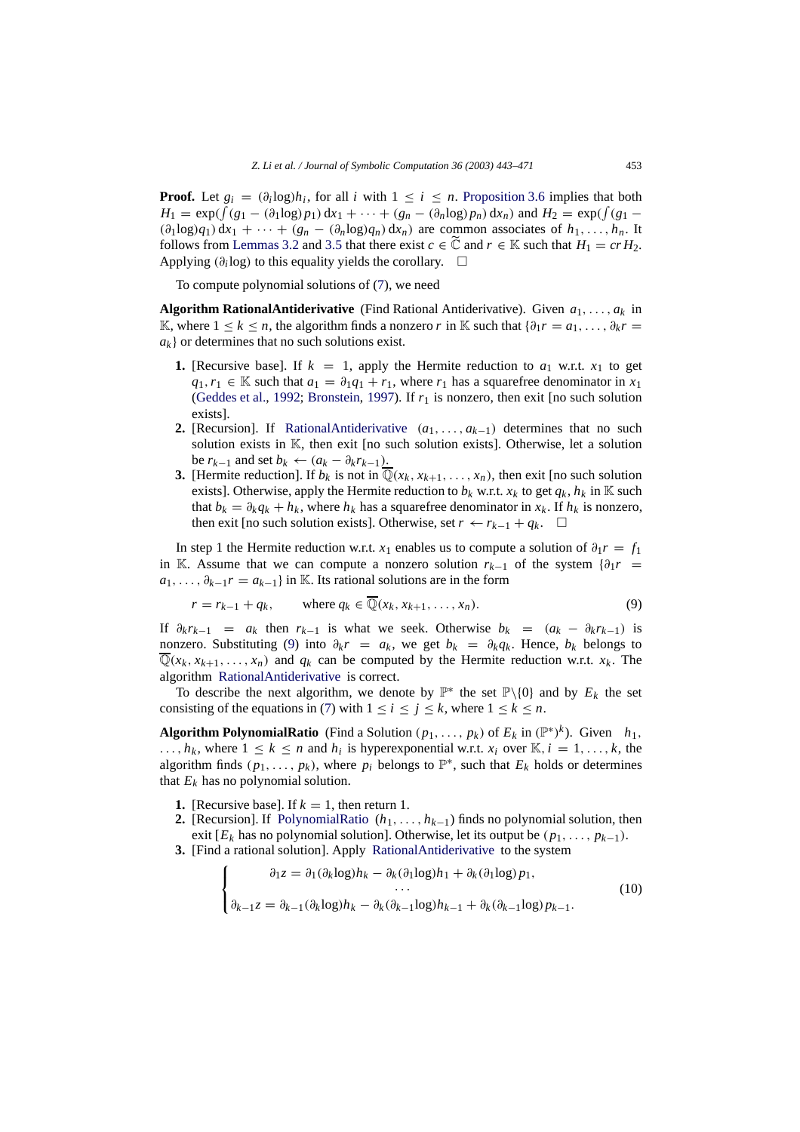**Proof.** Let  $g_i = (\partial_i \log h_i)$ , for all *i* with  $1 \leq i \leq n$ . [Proposition 3.6](#page-9-4) implies that both  $H_1 = \exp(\int (g_1 - (\partial_1 \log p_1) dx_1 + \cdots + (g_n - (\partial_n \log p_n) dx_n)$  and  $H_2 = \exp(\int (g_1 (\partial_1 \log q_1) dx_1 + \cdots + (g_n - (\partial_n \log q_n) dx_n)$  are common associates of  $h_1, \ldots, h_n$ . It follows from [Lemmas 3.2](#page-6-1) and [3.5](#page-9-5) that there exist  $c \in \mathbb{C}$  and  $r \in \mathbb{K}$  such that  $H_1 = cr H_2$ . Applying  $(\partial_i \log)$  to this equality yields the corollary.  $\square$ 

<span id="page-10-0"></span>To compute polynomial solutions of [\(7\)](#page-9-2), we need

**Algorithm RationalAntiderivative** (Find Rational Antiderivative). Given *a*1,..., *ak* in K, where  $1 \le k \le n$ , the algorithm finds a nonzero *r* in K such that  $\{\partial_1 r = a_1, \ldots, \partial_k r = a_k\}$  $a_k$  } or determines that no such solutions exist.

- **1.** [Recursive base]. If  $k = 1$ , apply the Hermite reduction to  $a_1$  w.r.t.  $x_1$  to get *q*<sub>1</sub>, *r*<sub>1</sub> ∈ K such that  $a_1 = \partial_1 q_1 + r_1$ , where *r*<sub>1</sub> has a squarefree denominator in *x*<sub>1</sub> [\(Geddes et al.,](#page-28-16) [1992](#page-28-16); [Bronstein,](#page-27-8) [1997](#page-27-8)). If *r*<sup>1</sup> is nonzero, then exit [no such solution exists].
- **2.** [Recursion]. If [RationalAntiderivative](#page-10-0) (*a*1,..., *ak*<sup>−</sup>1) determines that no such solution exists in  $\mathbb{K}$ , then exit [no such solution exists]. Otherwise, let a solution be  $r_{k-1}$  and set  $b_k \leftarrow (a_k - \partial_k r_{k-1})$ .
- **3.** [Hermite reduction]. If  $b_k$  is not in  $\mathbb{Q}(x_k, x_{k+1}, \ldots, x_n)$ , then exit [no such solution exists]. Otherwise, apply the Hermite reduction to  $b_k$  w.r.t.  $x_k$  to get  $q_k$ ,  $h_k$  in K such that  $b_k = \partial_k q_k + h_k$ , where  $h_k$  has a squarefree denominator in  $x_k$ . If  $h_k$  is nonzero, then exit [no such solution exists]. Otherwise, set  $r \leftarrow r_{k-1} + q_k$ .  $\Box$

In step 1 the Hermite reduction w.r.t. *x*<sub>1</sub> enables us to compute a solution of  $\partial_1 r = f_1$ in K. Assume that we can compute a nonzero solution  $r_{k-1}$  of the system  $\{\partial_1 r =$  $a_1, \ldots, \partial_{k-1}r = a_{k-1}$ } in K. Its rational solutions are in the form

<span id="page-10-1"></span>
$$
r = r_{k-1} + q_k, \qquad \text{where } q_k \in \overline{\mathbb{Q}}(x_k, x_{k+1}, \dots, x_n). \tag{9}
$$

If  $\partial_k r_{k-1} = a_k$  then  $r_{k-1}$  is what we seek. Otherwise  $b_k = (a_k - \partial_k r_{k-1})$  is nonzero. Substituting [\(9\)](#page-10-1) into  $\partial_k r = a_k$ , we get  $b_k = \partial_k q_k$ . Hence,  $b_k$  belongs to  $\overline{\mathbb{Q}}(x_k, x_{k+1}, \ldots, x_n)$  and  $q_k$  can be computed by the Hermite reduction w.r.t.  $x_k$ . The algorithm [RationalAntiderivative](#page-10-0) is correct.

To describe the next algorithm, we denote by  $\mathbb{P}^*$  the set  $\mathbb{P}\setminus\{0\}$  and by  $E_k$  the set consisting of the equations in [\(7\)](#page-9-2) with  $1 \le i \le j \le k$ , where  $1 \le k \le n$ .

**Algorithm PolynomialRatio** (Find a Solution  $(p_1, \ldots, p_k)$  of  $E_k$  in  $(\mathbb{P}^*)^k$ ). Given  $h_1$ , ...,  $h_k$ , where  $1 \leq k \leq n$  and  $h_i$  is hyperexponential w.r.t.  $x_i$  over  $\mathbb{K}, i = 1, \ldots, k$ , the algorithm finds  $(p_1, \ldots, p_k)$ , where  $p_i$  belongs to  $\mathbb{P}^*$ , such that  $E_k$  holds or determines that  $E_k$  has no polynomial solution.

- **1.** [Recursive base]. If  $k = 1$ , then return 1.
- **2.** [Recursion]. If [PolynomialRatio](#page-10-2)  $(h_1, \ldots, h_{k-1})$  finds no polynomial solution, then exit  $[E_k]$  has no polynomial solution]. Otherwise, let its output be  $(p_1, \ldots, p_{k-1})$ .
- **3.** [Find a rational solution]. Apply [RationalAntiderivative](#page-10-0) to the system

<span id="page-10-2"></span>
$$
\begin{cases}\n\partial_1 z = \partial_1 (\partial_k \log) h_k - \partial_k (\partial_1 \log) h_1 + \partial_k (\partial_1 \log) p_1, \\
\vdots \\
\partial_{k-1} z = \partial_{k-1} (\partial_k \log) h_k - \partial_k (\partial_{k-1} \log) h_{k-1} + \partial_k (\partial_{k-1} \log) p_{k-1}.\n\end{cases}
$$
\n(10)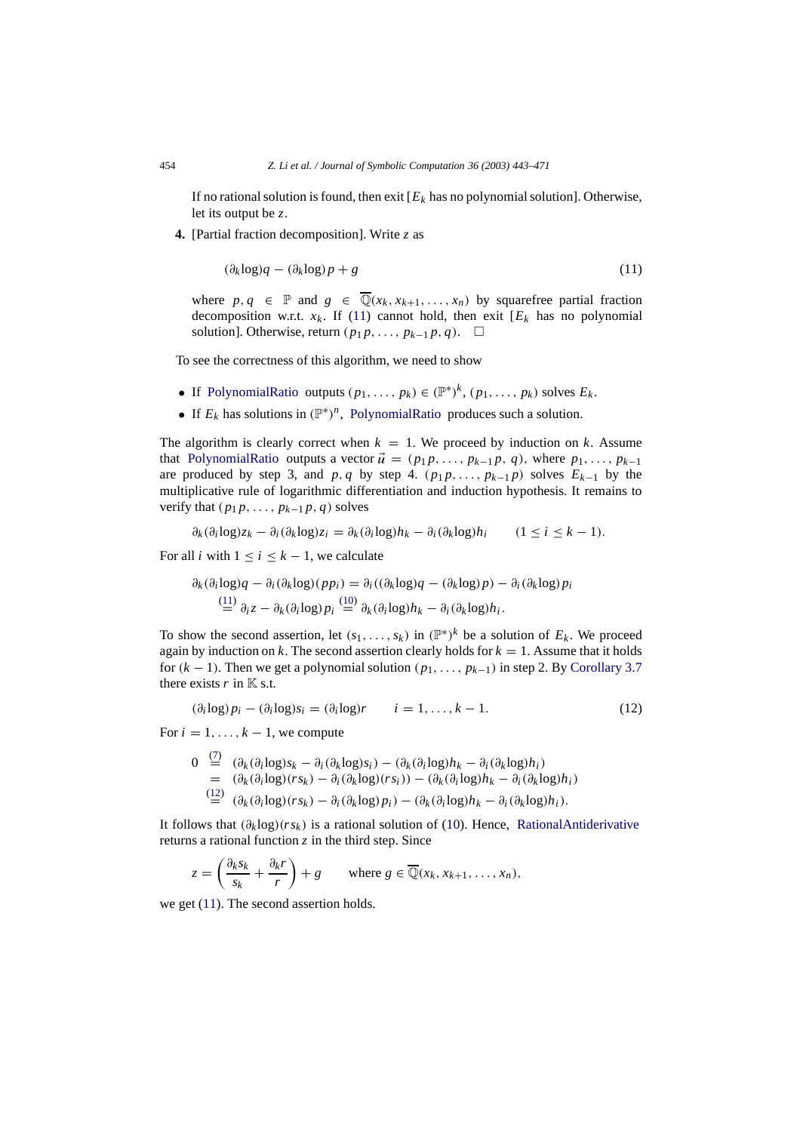If no rational solution is found, then exit  $[E_k]$  has no polynomial solution]. Otherwise, let its output be *z*.

**4.** [Partial fraction decomposition]. Write *z* as

$$
(\partial_k \log)q - (\partial_k \log)p + g \tag{11}
$$

where  $p, q \in \mathbb{P}$  and  $g \in \overline{\mathbb{Q}}(x_k, x_{k+1},..., x_n)$  by squarefree partial fraction decomposition w.r.t.  $x_k$ . If (11) cannot hold, then exit  $[E_k]$  has no polynomial solution]. Otherwise, return  $(p_1 p, \ldots, p_{k-1} p, q)$ . □

To see the correctness of this algorithm, we need to show

- If [PolynomialRatio](#page-10-2) outputs  $(p_1, \ldots, p_k) \in (\mathbb{P}^*)^k$ ,  $(p_1, \ldots, p_k)$  solves  $E_k$ .
- If  $E_k$  has solutions in  $(\mathbb{P}^*)^n$ , [PolynomialRatio](#page-10-2) produces such a solution.

The algorithm is clearly correct when  $k = 1$ . We proceed by induction on *k*. Assume that [PolynomialRatio](#page-10-2) outputs a vector  $\vec{u} = (p_1 p, \ldots, p_{k-1} p, q)$ , where  $p_1, \ldots, p_{k-1}$ are produced by step 3, and  $p, q$  by step 4.  $(p_1 p, \ldots, p_{k-1} p)$  solves  $E_{k-1}$  by the multiplicative rule of logarithmic differentiation and induction hypothesis. It remains to verify that  $(p_1 p, \ldots, p_{k-1} p, q)$  solves

$$
\partial_k(\partial_i \log z_k - \partial_i(\partial_k \log z_i = \partial_k(\partial_i \log h_k - \partial_i(\partial_k \log h_i)) \quad (1 \leq i \leq k-1).
$$

For all *i* with  $1 \le i \le k - 1$ , we calculate

<span id="page-11-0"></span>
$$
\partial_k(\partial_i \log q - \partial_i(\partial_k \log)(p p_i) = \partial_i((\partial_k \log q - (\partial_k \log p) - \partial_i(\partial_k \log)p_i
$$
  
\n
$$
\stackrel{(11)}{=} \partial_i z - \partial_k(\partial_i \log p_i) = \partial_k(\partial_i \log) h_k - \partial_i(\partial_k \log h_i).
$$

To show the second assertion, let  $(s_1, \ldots, s_k)$  in  $(\mathbb{P}^*)^k$  be a solution of  $E_k$ . We proceed again by induction on  $k$ . The second assertion clearly holds for  $k = 1$ . Assume that it holds for  $(k - 1)$ . Then we get a polynomial solution  $(p_1, \ldots, p_{k-1})$  in step 2. By [Corollary 3.7](#page-9-6) there exists  $r$  in  $K$  s.t.

$$
(\partial_i \log p_i - (\partial_i \log s_i = (\partial_i \log r \qquad i = 1, ..., k - 1. \qquad (12)
$$

For  $i = 1, \ldots, k - 1$ , we compute

$$
0 \stackrel{(7)}{=} (\partial_k(\partial_i \log)s_k - \partial_i(\partial_k \log)s_i) - (\partial_k(\partial_i \log)h_k - \partial_i(\partial_k \log)h_i)
$$
  
\n
$$
= (\partial_k(\partial_i \log)(rs_k) - \partial_i(\partial_k \log)(rs_i)) - (\partial_k(\partial_i \log)h_k - \partial_i(\partial_k \log)h_i)
$$
  
\n
$$
\stackrel{(12)}{=} (\partial_k(\partial_i \log)(rs_k) - \partial_i(\partial_k \log)p_i) - (\partial_k(\partial_i \log)h_k - \partial_i(\partial_k \log)h_i).
$$

It follows that  $(\partial_k \log)(rs_k)$  is a rational solution of (10). Hence, [RationalAntiderivative](#page-10-0) returns a rational function  $z$  in the third step. Since

$$
z = \left(\frac{\partial_k s_k}{s_k} + \frac{\partial_k r}{r}\right) + g \quad \text{where } g \in \overline{\mathbb{Q}}(x_k, x_{k+1}, \dots, x_n),
$$

we get (11). The second assertion holds.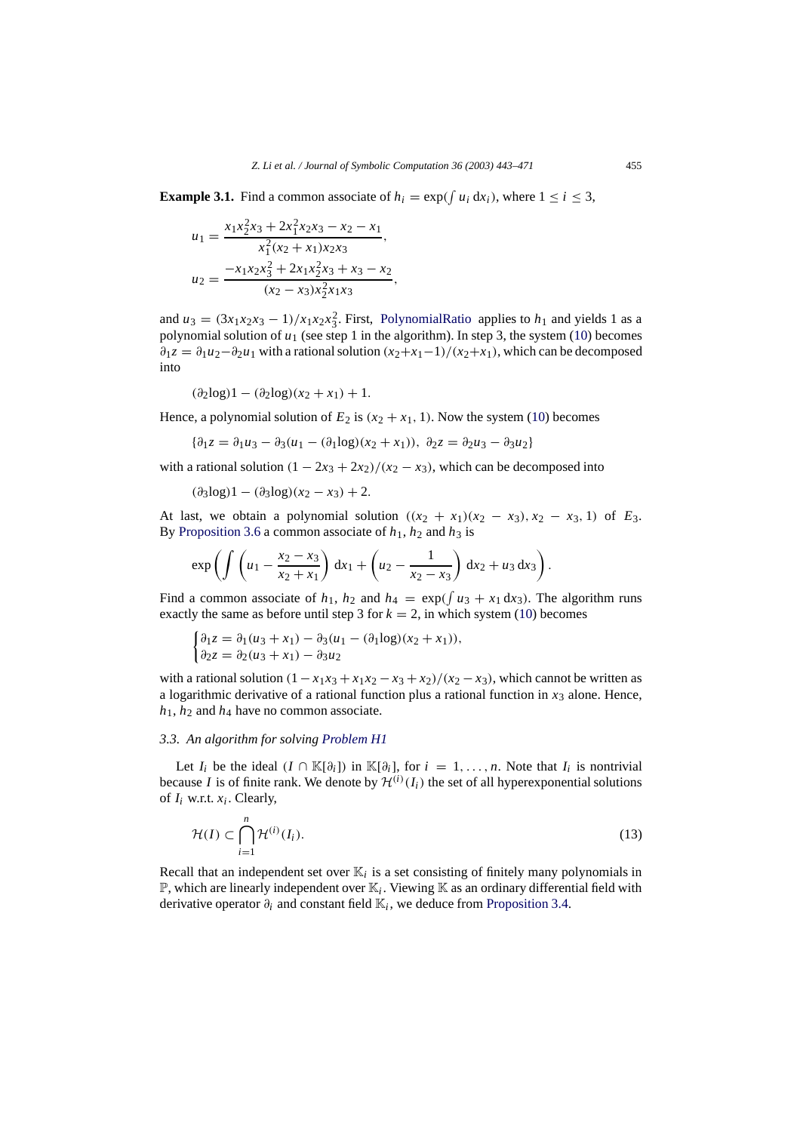**Example 3.1.** Find a common associate of  $h_i = \exp(\int u_i \, dx_i)$ , where  $1 \le i \le 3$ ,

<span id="page-12-1"></span>
$$
u_1 = \frac{x_1 x_2^2 x_3 + 2x_1^2 x_2 x_3 - x_2 - x_1}{x_1^2 (x_2 + x_1) x_2 x_3},
$$
  
\n
$$
u_2 = \frac{-x_1 x_2 x_3^2 + 2x_1 x_2^2 x_3 + x_3 - x_2}{(x_2 - x_3) x_2^2 x_1 x_3},
$$

and  $u_3 = (3x_1x_2x_3 - 1)/x_1x_2x_3^2$ . First, [PolynomialRatio](#page-10-2) applies to  $h_1$  and yields 1 as a polynomial solution of *u*<sup>1</sup> (see step 1 in the algorithm). In step 3, the system (10) becomes  $\partial_1 z = \partial_1 u_2 - \partial_2 u_1$  with a rational solution  $(x_2 + x_1 - 1)/(x_2 + x_1)$ , which can be decomposed into

$$
(\partial_2 \log 1 - (\partial_2 \log)(x_2 + x_1) + 1.
$$

Hence, a polynomial solution of  $E_2$  is  $(x_2 + x_1, 1)$ . Now the system (10) becomes

$$
\{\partial_1 z = \partial_1 u_3 - \partial_3 (u_1 - (\partial_1 \log)(x_2 + x_1)), \ \partial_2 z = \partial_2 u_3 - \partial_3 u_2\}
$$

with a rational solution  $(1 - 2x_3 + 2x_2)/(x_2 - x_3)$ , which can be decomposed into

 $(\partial_3 \log)1 - (\partial_3 \log)(x_2 - x_3) + 2.$ 

At last, we obtain a polynomial solution  $((x_2 + x_1)(x_2 - x_3), x_2 - x_3, 1)$  of  $E_3$ . By [Proposition 3.6](#page-9-4) a common associate of  $h_1$ ,  $h_2$  and  $h_3$  is

$$
\exp\left(\int \left(u_1 - \frac{x_2 - x_3}{x_2 + x_1}\right) \, \mathrm{d}x_1 + \left(u_2 - \frac{1}{x_2 - x_3}\right) \, \mathrm{d}x_2 + u_3 \, \mathrm{d}x_3\right).
$$

Find a common associate of  $h_1$ ,  $h_2$  and  $h_4 = \exp(\int u_3 + x_1 dx_3)$ . The algorithm runs exactly the same as before until step 3 for  $k = 2$ , in which system (10) becomes

$$
\begin{cases} \partial_1 z = \partial_1 (u_3 + x_1) - \partial_3 (u_1 - (\partial_1 \log)(x_2 + x_1)), \\ \partial_2 z = \partial_2 (u_3 + x_1) - \partial_3 u_2 \end{cases}
$$

with a rational solution  $(1 - x_1x_3 + x_1x_2 - x_3 + x_2)/(x_2 - x_3)$ , which cannot be written as a logarithmic derivative of a rational function plus a rational function in  $x_3$  alone. Hence, *h*1, *h*<sup>2</sup> and *h*<sup>4</sup> have no common associate.

#### <span id="page-12-0"></span>*3.3. An algorithm for solving [Problem H1](#page-3-0)*

Let *I<sub>i</sub>* be the ideal  $(I \cap \mathbb{K}[\partial_i])$  in  $\mathbb{K}[\partial_i]$ , for  $i = 1, \ldots, n$ . Note that *I<sub>i</sub>* is nontrivial because *I* is of finite rank. We denote by  $\mathcal{H}^{(i)}(I_i)$  the set of all hyperexponential solutions of  $I_i$  w.r.t.  $x_i$ . Clearly,

$$
\mathcal{H}(I) \subset \bigcap_{i=1}^{n} \mathcal{H}^{(i)}(I_i). \tag{13}
$$

Recall that an independent set over  $\mathbb{K}_i$  is a set consisting of finitely many polynomials in  $\mathbb{P}$ , which are linearly independent over  $\mathbb{K}_i$ . Viewing  $\mathbb{K}$  as an ordinary differential field with derivative operator  $\partial_i$  and constant field  $\mathbb{K}_i$ , we deduce from [Proposition 3.4.](#page-8-0)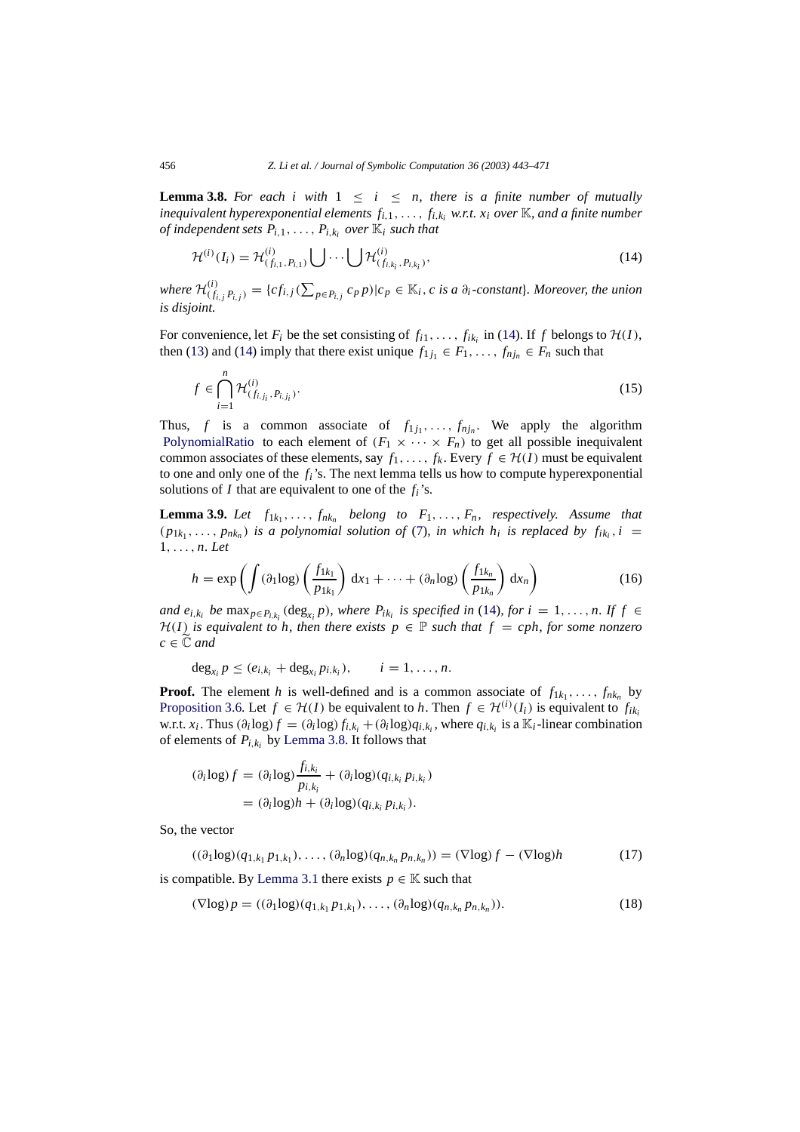<span id="page-13-1"></span>**Lemma 3.8.** For each i with  $1 \leq i \leq n$ , there is a finite number of mutually *inequivalent hyperexponential elements*  $f_{i,1}, \ldots, f_{i,k_i}$  *w.r.t.*  $x_i$  *over*  $\mathbb{K}$ *, and a finite number of independent sets*  $P_{i,1}, \ldots, P_{i,k_i}$  *over*  $\mathbb{K}_i$  *such that* 

<span id="page-13-0"></span>
$$
\mathcal{H}^{(i)}(I_i) = \mathcal{H}^{(i)}_{(f_{i,1}, P_{i,1})} \bigcup \cdots \bigcup \mathcal{H}^{(i)}_{(f_{i,k_i}, P_{i,k_i})},
$$
\n(14)

where  $\mathcal{H}_{(f_{i,j}P_{i,j})}^{(i)} = \{cf_{i,j}(\sum_{p\in P_{i,j}}c_p p)|c_p \in \mathbb{K}_i, c \text{ is a } \partial_i\text{-constant}\}\text{. Moreover, the union}$ *is disjoint.*

For convenience, let  $F_i$  be the set consisting of  $f_{i1}, \ldots, f_{ik_i}$  in [\(14\)](#page-13-0). If  $f$  belongs to  $\mathcal{H}(I)$ , then [\(13\)](#page-12-1) and [\(14\)](#page-13-0) imply that there exist unique  $f_{1j_1} \in F_1, \ldots, f_{nj_n} \in F_n$  such that

$$
f \in \bigcap_{i=1}^{n} \mathcal{H}_{(f_{i,j_i}, P_{i,j_i})}^{(i)}.
$$
 (15)

Thus, *f* is a common associate of  $f_{1j_1}, \ldots, f_{nj_n}$ . We apply the algorithm [PolynomialRatio](#page-10-2) to each element of  $(F_1 \times \cdots \times F_n)$  to get all possible inequivalent common associates of these elements, say  $f_1, \ldots, f_k$ . Every  $f \in H(I)$  must be equivalent to one and only one of the *fi*'s. The next lemma tells us how to compute hyperexponential solutions of *I* that are equivalent to one of the *fi*'s.

**Lemma 3.9.** *Let*  $f_{1k_1}, \ldots, f_{nk_n}$  *belong to*  $F_1, \ldots, F_n$ *, respectively. Assume that*  $(p_{1k_1},\ldots,p_{nk_n})$  *is a polynomial solution of* [\(7\)](#page-9-2)*, in which h<sub>i</sub> is replaced by*  $f_{ik_i}, i =$ 1,..., *n. Let*

<span id="page-13-4"></span>
$$
h = \exp\left(\int (\partial_1 \log)\left(\frac{f_{1k_1}}{p_{1k_1}}\right) dx_1 + \dots + (\partial_n \log)\left(\frac{f_{1k_n}}{p_{1k_n}}\right) dx_n\right) \tag{16}
$$

*and*  $e_{i,k_i}$  *be*  $\max_{p \in P_{i,k_i}} (\deg_{x_i} p)$ *, where*  $P_{ik_i}$  *is specified in* [\(14\)](#page-13-0)*, for*  $i = 1, \ldots, n$ *. If*  $f \in$ *H*(*I*) *is equivalent to h, then there exists*  $p \in \mathbb{P}$  *such that*  $f = cph$ , *for some nonzero*  $c \in \widetilde{\mathbb{C}}$  *and* 

 $\deg_{x_i} p \leq (e_{i,k_i} + \deg_{x_i} p_{i,k_i}), \qquad i = 1, \ldots, n.$ 

**Proof.** The element *h* is well-defined and is a common associate of  $f_{1k_1}, \ldots, f_{nk_n}$  by [Proposition 3.6.](#page-9-4) Let  $f \in H(I)$  be equivalent to *h*. Then  $f \in H^{(i)}(I_i)$  is equivalent to  $f_{ik_i}$ w.r.t.  $x_i$ . Thus  $(\partial_i \log f) = (\partial_i \log f_{i,k_i} + (\partial_i \log g_{i,k_i})$ , where  $q_{i,k_i}$  is a  $\mathbb{K}_i$ -linear combination of elements of  $P_{i,k_i}$  by [Lemma 3.8.](#page-13-1) It follows that

<span id="page-13-2"></span>
$$
(\partial_i \log f) = (\partial_i \log \frac{f_{i,k_i}}{p_{i,k_i}} + (\partial_i \log (q_{i,k_i} p_{i,k_i})
$$
  
= 
$$
(\partial_i \log h + (\partial_i \log (q_{i,k_i} p_{i,k_i})).
$$

So, the vector

$$
((\partial_1 \log)(q_{1,k_1}p_{1,k_1}),\ldots,(\partial_n \log)(q_{n,k_n}p_{n,k_n})) = (\nabla \log)f - (\nabla \log)h \tag{17}
$$

is compatible. By [Lemma 3.1](#page-6-0) there exists  $p \in \mathbb{K}$  such that

<span id="page-13-3"></span>
$$
(\nabla \log p = ((\partial_1 \log)(q_{1,k_1} p_{1,k_1}), \dots, (\partial_n \log)(q_{n,k_n} p_{n,k_n})).
$$
\n(18)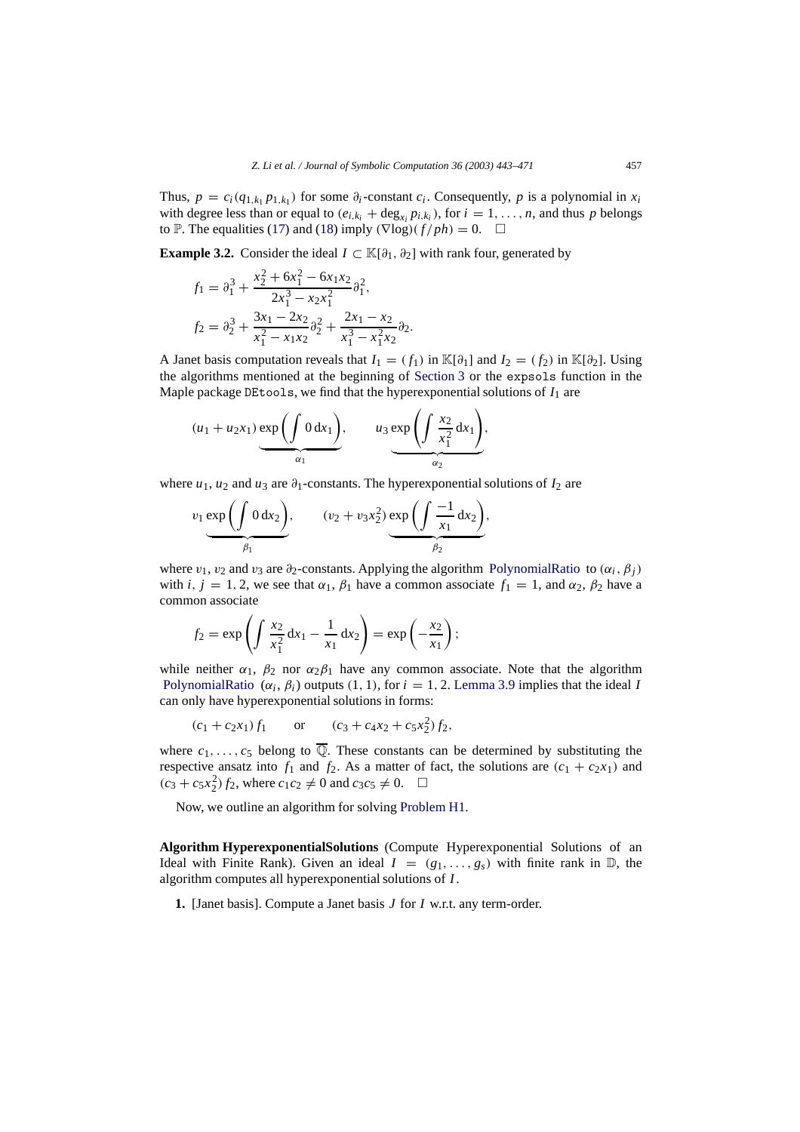Thus,  $p = c_i(q_{1,k_1} p_{1,k_1})$  for some  $\partial_i$ -constant  $c_i$ . Consequently,  $p$  is a polynomial in  $x_i$ with degree less than or equal to  $(e_{i,k_i} + deg_{x_i} p_{i,k_i})$ , for  $i = 1, ..., n$ , and thus p belongs to P. The equalities [\(17\)](#page-13-2) and [\(18\)](#page-13-3) imply  $(\nabla \log)(f / ph) = 0$ .  $\Box$ 

**Example 3.2.** Consider the ideal  $I \subset \mathbb{K}[\partial_1, \partial_2]$  with rank four, generated by

<span id="page-14-1"></span>
$$
f_1 = \partial_1^3 + \frac{x_2^2 + 6x_1^2 - 6x_1x_2}{2x_1^3 - x_2x_1^2} \partial_1^2,
$$
  
\n
$$
f_2 = \partial_2^3 + \frac{3x_1 - 2x_2}{x_1^2 - x_1x_2} \partial_2^2 + \frac{2x_1 - x_2}{x_1^3 - x_1^2x_2} \partial_2.
$$

A Janet basis computation reveals that  $I_1 = (f_1)$  in K[ $\partial_1$ ] and  $I_2 = (f_2)$  in K[ $\partial_2$ ]. Using the algorithms mentioned at the beginning of [Section 3](#page-4-0) or the expsols function in the Maple package DEtools, we find that the hyperexponential solutions of  $I_1$  are

$$
(u_1 + u_2 x_1) \underbrace{\exp\left(\int 0 \, dx_1\right)}_{\alpha_1}, \qquad u_3 \underbrace{\exp\left(\int \frac{x_2}{x_1^2} \, dx_1\right)}_{\alpha_2},
$$

where  $u_1$ ,  $u_2$  and  $u_3$  are  $\partial_1$ -constants. The hyperexponential solutions of  $I_2$  are

$$
v_1 \underbrace{\exp\left(\int 0 \, dx_2\right)}_{\beta_1}, \qquad (v_2 + v_3 x_2^2) \underbrace{\exp\left(\int \frac{-1}{x_1} \, dx_2\right)}_{\beta_2},
$$

where  $v_1$ ,  $v_2$  and  $v_3$  are  $\partial_2$ -constants. Applying the algorithm [PolynomialRatio](#page-10-2) to ( $\alpha_i$ ,  $\beta_j$ ) with *i*,  $j = 1, 2$ , we see that  $\alpha_1$ ,  $\beta_1$  have a common associate  $f_1 = 1$ , and  $\alpha_2$ ,  $\beta_2$  have a common associate

$$
f_2 = \exp \left( \int \frac{x_2}{x_1^2} dx_1 - \frac{1}{x_1} dx_2 \right) = \exp \left( -\frac{x_2}{x_1} \right);
$$

while neither  $\alpha_1$ ,  $\beta_2$  nor  $\alpha_2\beta_1$  have any common associate. Note that the algorithm [PolynomialRatio](#page-10-2)  $(\alpha_i, \beta_i)$  outputs (1, 1), for  $i = 1, 2$ . [Lemma 3.9](#page-13-4) implies that the ideal *I* can only have hyperexponential solutions in forms:

$$
(c_1 + c_2x_1)f_1
$$
 or  $(c_3 + c_4x_2 + c_5x_2^2)f_2$ ,

where  $c_1, \ldots, c_5$  belong to  $\overline{\mathbb{Q}}$ . These constants can be determined by substituting the respective ansatz into  $f_1$  and  $f_2$ . As a matter of fact, the solutions are  $(c_1 + c_2x_1)$  and  $(c_3 + c_5x_2^2) f_2$ , where  $c_1c_2 \neq 0$  and  $c_3c_5 \neq 0$ .  $\Box$ 

Now, we outline an algorithm for solving [Problem H1.](#page-3-0)

<span id="page-14-0"></span>**Algorithm HyperexponentialSolutions** (Compute Hyperexponential Solutions of an Ideal with Finite Rank). Given an ideal  $I = (g_1, \ldots, g_s)$  with finite rank in  $\mathbb{D}$ , the algorithm computes all hyperexponential solutions of *I*.

**1.** [Janet basis]. Compute a Janet basis *J* for *I* w.r.t. any term-order.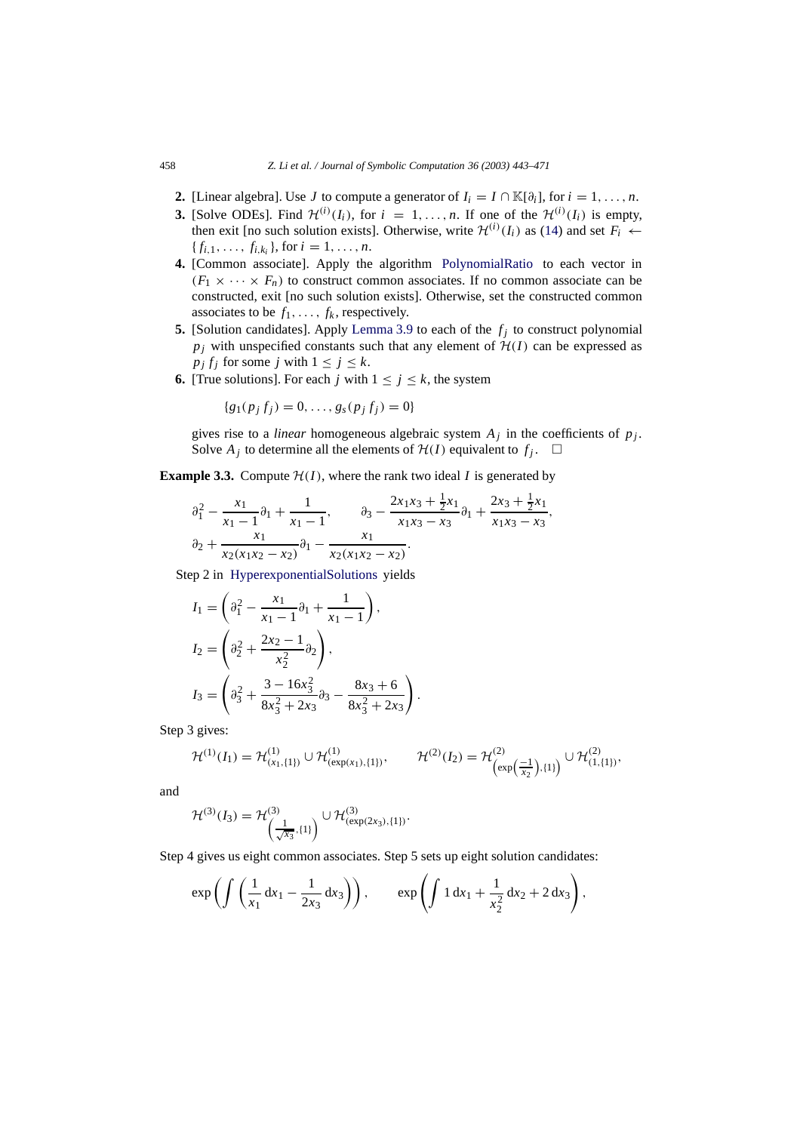- **2.** [Linear algebra]. Use *J* to compute a generator of  $I_i = I \cap \mathbb{K}[\partial_i]$ , for  $i = 1, \ldots, n$ .
- **3.** [Solve ODEs]. Find  $\mathcal{H}^{(i)}(I_i)$ , for  $i = 1, ..., n$ . If one of the  $\mathcal{H}^{(i)}(I_i)$  is empty, then exit [no such solution exists]. Otherwise, write  $\mathcal{H}^{(i)}(I_i)$  as [\(14\)](#page-13-0) and set  $F_i \leftarrow$  ${f_{i,1}, \ldots, f_{i,k_i}}$ , for  $i = 1, \ldots, n$ .
- **4.** [Common associate]. Apply the algorithm [PolynomialRatio](#page-10-2) to each vector in  $(F_1 \times \cdots \times F_n)$  to construct common associates. If no common associate can be constructed, exit [no such solution exists]. Otherwise, set the constructed common associates to be  $f_1, \ldots, f_k$ , respectively.
- **5.** [Solution candidates]. Apply [Lemma 3.9](#page-13-4) to each of the  $f_j$  to construct polynomial  $p_i$  with unspecified constants such that any element of  $H(I)$  can be expressed as  $p_j f_j$  for some *j* with  $1 \le j \le k$ .
- **6.** [True solutions]. For each *j* with  $1 \le j \le k$ , the system

$$
\{g_1(p_j f_j) = 0, \ldots, g_s(p_j f_j) = 0\}
$$

gives rise to a *linear* homogeneous algebraic system  $A_j$  in the coefficients of  $p_j$ . Solve  $A_j$  to determine all the elements of  $H(I)$  equivalent to  $f_j$ .  $\Box$ 

**Example 3.3.** Compute  $H(I)$ , where the rank two ideal *I* is generated by

$$
\partial_1^2 - \frac{x_1}{x_1 - 1} \partial_1 + \frac{1}{x_1 - 1}, \qquad \partial_3 - \frac{2x_1 x_3 + \frac{1}{2} x_1}{x_1 x_3 - x_3} \partial_1 + \frac{2x_3 + \frac{1}{2} x_1}{x_1 x_3 - x_3},
$$
  

$$
\partial_2 + \frac{x_1}{x_2 (x_1 x_2 - x_2)} \partial_1 - \frac{x_1}{x_2 (x_1 x_2 - x_2)}.
$$

Step 2 in [HyperexponentialSolutions](#page-14-0) yields

$$
I_1 = \left(\partial_1^2 - \frac{x_1}{x_1 - 1}\partial_1 + \frac{1}{x_1 - 1}\right),
$$
  
\n
$$
I_2 = \left(\partial_2^2 + \frac{2x_2 - 1}{x_2^2}\partial_2\right),
$$
  
\n
$$
I_3 = \left(\partial_3^2 + \frac{3 - 16x_3^2}{8x_3^2 + 2x_3}\partial_3 - \frac{8x_3 + 6}{8x_3^2 + 2x_3}\right)
$$

Step 3 gives:

$$
\mathcal{H}^{(1)}(I_1) = \mathcal{H}^{(1)}_{(x_1,\{1\})} \cup \mathcal{H}^{(1)}_{(\exp(x_1),\{1\})}, \qquad \mathcal{H}^{(2)}(I_2) = \mathcal{H}^{(2)}_{(\exp\left(\frac{-1}{x_2}\right),\{1\})} \cup \mathcal{H}^{(2)}_{(1,\{1\})},
$$

.

and

$$
\mathcal{H}^{(3)}(\mathbf{I}_3) = \mathcal{H}^{(3)}_{\left(\frac{1}{\sqrt{x_3}}, \{1\}\right)} \cup \mathcal{H}^{(3)}_{(\exp(2x_3), \{1\})}.
$$

Step 4 gives us eight common associates. Step 5 sets up eight solution candidates:

$$
\exp\left(\int \left(\frac{1}{x_1} dx_1 - \frac{1}{2x_3} dx_3\right)\right), \qquad \exp\left(\int 1 dx_1 + \frac{1}{x_2^2} dx_2 + 2 dx_3\right),
$$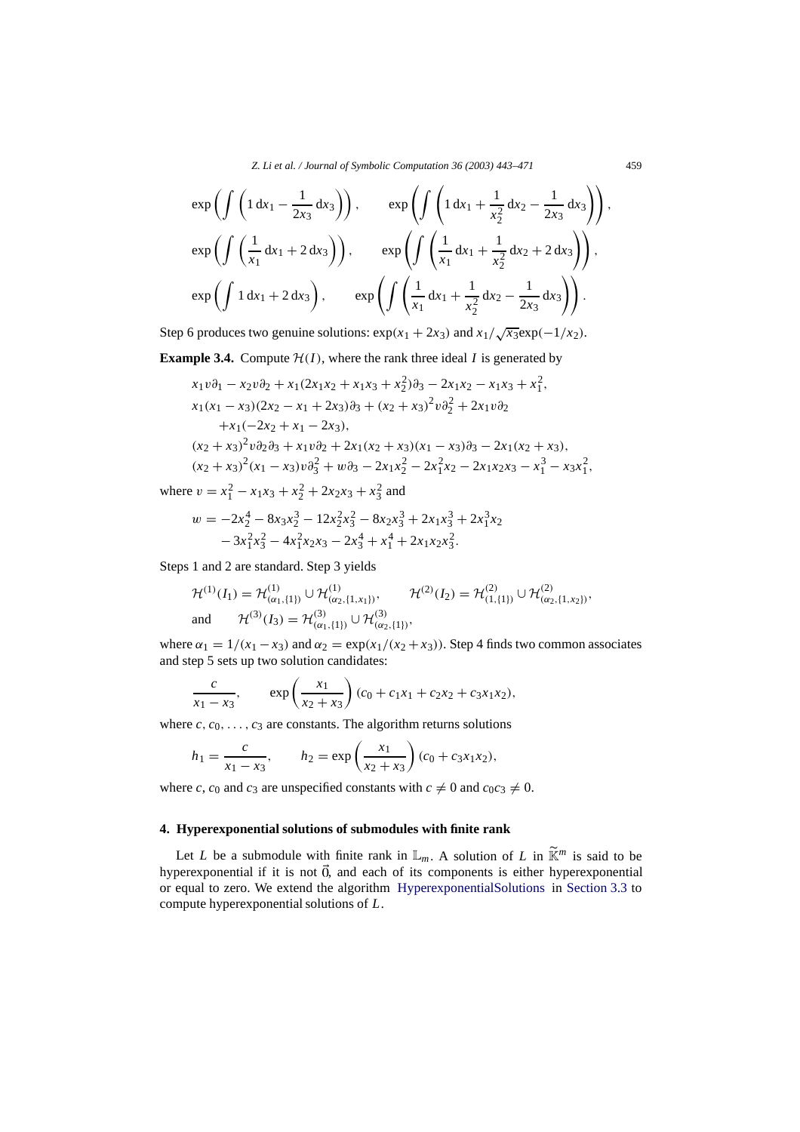*Z. Li et al. / Journal of Symbolic Computation 36 (2003) 443–471* 459

$$
\exp\left(\int \left(1 dx_1 - \frac{1}{2x_3} dx_3\right)\right), \qquad \exp\left(\int \left(1 dx_1 + \frac{1}{x_2^2} dx_2 - \frac{1}{2x_3} dx_3\right)\right),
$$
  
\n
$$
\exp\left(\int \left(\frac{1}{x_1} dx_1 + 2 dx_3\right)\right), \qquad \exp\left(\int \left(\frac{1}{x_1} dx_1 + \frac{1}{x_2^2} dx_2 + 2 dx_3\right)\right),
$$
  
\n
$$
\exp\left(\int 1 dx_1 + 2 dx_3\right), \qquad \exp\left(\int \left(\frac{1}{x_1} dx_1 + \frac{1}{x_2^2} dx_2 - \frac{1}{2x_3} dx_3\right)\right).
$$

Step 6 produces two genuine solutions:  $\exp(x_1 + 2x_3)$  and  $x_1/\sqrt{x_3}\exp(-1/x_2)$ .

**Example 3.4.** Compute  $H(I)$ , where the rank three ideal *I* is generated by

$$
x_1v\partial_1 - x_2v\partial_2 + x_1(2x_1x_2 + x_1x_3 + x_2^2)\partial_3 - 2x_1x_2 - x_1x_3 + x_1^2,
$$
  
\n
$$
x_1(x_1 - x_3)(2x_2 - x_1 + 2x_3)\partial_3 + (x_2 + x_3)^2v\partial_2^2 + 2x_1v\partial_2
$$
  
\n
$$
+x_1(-2x_2 + x_1 - 2x_3),
$$
  
\n
$$
(x_2 + x_3)^2v\partial_2\partial_3 + x_1v\partial_2 + 2x_1(x_2 + x_3)(x_1 - x_3)\partial_3 - 2x_1(x_2 + x_3),
$$
  
\n
$$
(x_2 + x_3)^2(x_1 - x_3)v\partial_3^2 + w\partial_3 - 2x_1x_2^2 - 2x_1^2x_2 - 2x_1x_2x_3 - x_1^3 - x_3x_1^2,
$$

where  $v = x_1^2 - x_1x_3 + x_2^2 + 2x_2x_3 + x_3^2$  and

$$
w = -2x_2^4 - 8x_3x_2^3 - 12x_2^2x_3^2 - 8x_2x_3^3 + 2x_1x_3^3 + 2x_1^3x_2 - 3x_1^2x_3^2 - 4x_1^2x_2x_3 - 2x_3^4 + x_1^4 + 2x_1x_2x_3^2.
$$

Steps 1 and 2 are standard. Step 3 yields

$$
\mathcal{H}^{(1)}(I_1) = \mathcal{H}^{(1)}_{(\alpha_1,\{1\})} \cup \mathcal{H}^{(1)}_{(\alpha_2,\{1,x_1\})}, \qquad \mathcal{H}^{(2)}(I_2) = \mathcal{H}^{(2)}_{(1,\{1\})} \cup \mathcal{H}^{(2)}_{(\alpha_2,\{1,x_2\})},
$$
  
and 
$$
\mathcal{H}^{(3)}(I_3) = \mathcal{H}^{(3)}_{(\alpha_1,\{1\})} \cup \mathcal{H}^{(3)}_{(\alpha_2,\{1\})},
$$

where  $\alpha_1 = 1/(x_1 - x_3)$  and  $\alpha_2 = \exp(x_1/(x_2 + x_3))$ . Step 4 finds two common associates and step 5 sets up two solution candidates:

$$
\frac{c}{x_1 - x_3}, \qquad \exp\left(\frac{x_1}{x_2 + x_3}\right)(c_0 + c_1x_1 + c_2x_2 + c_3x_1x_2),
$$

where  $c, c_0, \ldots, c_3$  are constants. The algorithm returns solutions

$$
h_1 = \frac{c}{x_1 - x_3}
$$
,  $h_2 = \exp\left(\frac{x_1}{x_2 + x_3}\right)(c_0 + c_3x_1x_2)$ ,

where *c*, *c*<sub>0</sub> and *c*<sub>3</sub> are unspecified constants with  $c \neq 0$  and  $c_0c_3 \neq 0$ .

#### <span id="page-16-0"></span>**4. Hyperexponential solutions of submodules with finite rank**

Let *L* be a submodule with finite rank in  $\mathbb{L}_m$ . A solution of *L* in  $\widetilde{\mathbb{K}}^m$  is said to be hyperexponential if it is not  $\vec{0}$ , and each of its components is either hyperexponential or equal to zero. We extend the algorithm [HyperexponentialSolutions](#page-14-0) in [Section 3.3](#page-12-0) to compute hyperexponential solutions of *L*.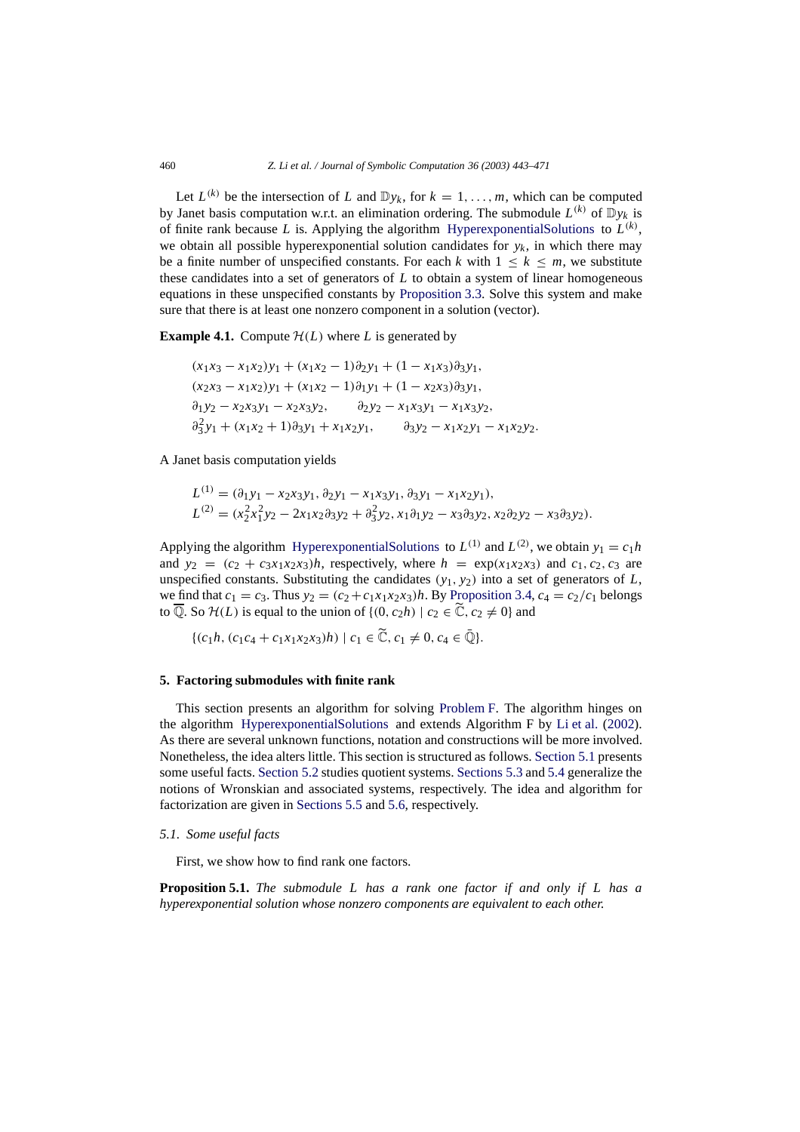Let  $L^{(k)}$  be the intersection of *L* and  $\mathbb{D}y_k$ , for  $k = 1, \ldots, m$ , which can be computed by Janet basis computation w.r.t. an elimination ordering. The submodule  $L^{(k)}$  of  $\mathbb{D}_{\nu_k}$  is of finite rank because L is. Applying the algorithm [HyperexponentialSolutions](#page-14-0) to  $L^{(k)}$ , we obtain all possible hyperexponential solution candidates for  $y_k$ , in which there may be a finite number of unspecified constants. For each *k* with  $1 \leq k \leq m$ , we substitute these candidates into a set of generators of *L* to obtain a system of linear homogeneous equations in these unspecified constants by [Proposition 3.3.](#page-7-1) Solve this system and make sure that there is at least one nonzero component in a solution (vector).

**Example 4.1.** Compute  $\mathcal{H}(L)$  where *L* is generated by

<span id="page-17-2"></span>
$$
(x_1x_3 - x_1x_2)y_1 + (x_1x_2 - 1)\partial_2 y_1 + (1 - x_1x_3)\partial_3 y_1,
$$
  
\n
$$
(x_2x_3 - x_1x_2)y_1 + (x_1x_2 - 1)\partial_1 y_1 + (1 - x_2x_3)\partial_3 y_1,
$$
  
\n
$$
\partial_1 y_2 - x_2x_3y_1 - x_2x_3y_2, \qquad \partial_2 y_2 - x_1x_3y_1 - x_1x_3y_2,
$$
  
\n
$$
\partial_3^2 y_1 + (x_1x_2 + 1)\partial_3 y_1 + x_1x_2y_1, \qquad \partial_3 y_2 - x_1x_2y_1 - x_1x_2y_2.
$$

A Janet basis computation yields

$$
L^{(1)} = (\partial_1 y_1 - x_2 x_3 y_1, \partial_2 y_1 - x_1 x_3 y_1, \partial_3 y_1 - x_1 x_2 y_1),
$$
  
\n
$$
L^{(2)} = (x_2^2 x_1^2 y_2 - 2x_1 x_2 \partial_3 y_2 + \partial_3^2 y_2, x_1 \partial_1 y_2 - x_3 \partial_3 y_2, x_2 \partial_2 y_2 - x_3 \partial_3 y_2).
$$

Applying the algorithm [HyperexponentialSolutions](#page-14-0) to  $L^{(1)}$  and  $L^{(2)}$ , we obtain  $y_1 = c_1 h$ and  $y_2 = (c_2 + c_3x_1x_2x_3)h$ , respectively, where  $h = \exp(x_1x_2x_3)$  and  $c_1, c_2, c_3$  are unspecified constants. Substituting the candidates  $(y_1, y_2)$  into a set of generators of  $L$ , we find that  $c_1 = c_3$ . Thus  $y_2 = (c_2 + c_1x_1x_2x_3)h$ . By [Proposition 3.4,](#page-8-0)  $c_4 = c_2/c_1$  belongs to  $\overline{\mathbb{Q}}$ . So  $\mathcal{H}(L)$  is equal to the union of  $\{(0, c_2h) \mid c_2 \in \mathbb{C}, c_2 \neq 0\}$  and

$$
\{(c_1h, (c_1c_4+c_1x_1x_2x_3)h) \mid c_1 \in \widetilde{\mathbb{C}}, c_1 \neq 0, c_4 \in \bar{\mathbb{Q}}\}.
$$

#### <span id="page-17-0"></span>**5. Factoring submodules with finite rank**

This section presents an algorithm for solving [Problem F.](#page-2-2) The algorithm hinges on the algorithm [HyperexponentialSolutions](#page-14-0) and extends Algorithm F by [Li et al.](#page-28-4) [\(2002\)](#page-28-4). As there are several unknown functions, notation and constructions will be more involved. Nonetheless, the idea alters little. This section is structured as follows. [Section 5.1](#page-17-1) presents some useful facts. [Section 5.2](#page-19-0) studies quotient systems. [Sections 5.3](#page-21-0) and [5.4](#page-22-0) generalize the notions of Wronskian and associated systems, respectively. The idea and algorithm for factorization are given in [Sections 5.5](#page-23-0) and [5.6,](#page-24-0) respectively.

#### <span id="page-17-1"></span>*5.1. Some useful facts*

First, we show how to find rank one factors.

**Proposition 5.1.** *The submodule L has a rank one factor if and only if L has a hyperexponential solution whose nonzero components are equivalent to each other.*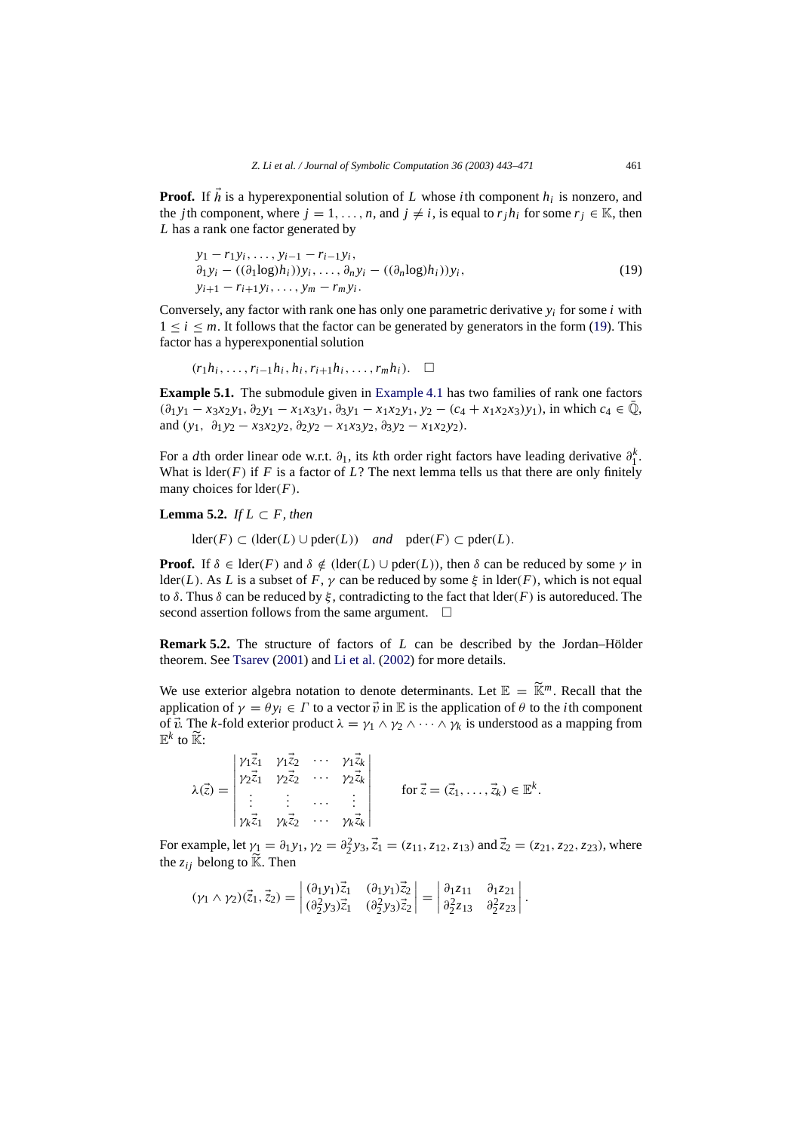**Proof.** If  $\tilde{h}$  is a hyperexponential solution of *L* whose *i*th component  $h_i$  is nonzero, and the *j*th component, where  $j = 1, \ldots, n$ , and  $j \neq i$ , is equal to  $r_j h_j$  for some  $r_j \in \mathbb{K}$ , then *L* has a rank one factor generated by

$$
y_1 - r_1 y_i, \dots, y_{i-1} - r_{i-1} y_i, \n\partial_1 y_i - ((\partial_1 \log h_i)) y_i, \dots, \partial_n y_i - ((\partial_n \log h_i)) y_i, \n\partial_{i+1} - r_{i+1} y_i, \dots, y_m - r_m y_i.
$$
\n(19)

Conversely, any factor with rank one has only one parametric derivative  $y_i$  for some *i* with  $1 \le i \le m$ . It follows that the factor can be generated by generators in the form [\(19\)](#page-14-1). This factor has a hyperexponential solution

(*r*1*hi*,...,*ri*<sup>−</sup>1*hi*, *hi*,*ri*<sup>+</sup>1*hi*,...,*rmhi*).

<span id="page-18-0"></span>**Example 5.1.** The submodule given in [Example 4.1](#page-17-2) has two families of rank one factors  $(\partial_1 y_1 - x_3 x_2 y_1, \partial_2 y_1 - x_1 x_3 y_1, \partial_3 y_1 - x_1 x_2 y_1, y_2 - (c_4 + x_1 x_2 x_3) y_1)$ , in which  $c_4 \in \overline{Q}$ , and  $(y_1, \theta_1 y_2 - x_3 x_2 y_2, \theta_2 y_2 - x_1 x_3 y_2, \theta_3 y_2 - x_1 x_2 y_2$ .

For a *d*th order linear ode w.r.t. ∂1, its *k*th order right factors have leading derivative ∂*<sup>k</sup>* 1 . What is  $\text{lder}(F)$  if F is a factor of L? The next lemma tells us that there are only finitely many choices for lder(*F*).

**Lemma** 5.2. *If*  $L \subset F$ *, then* 

<span id="page-18-1"></span>lder(*F*) ⊂ (lder(*L*) ∪ pder(*L*)) *and* pder(*F*) ⊂ pder(*L*).

**Proof.** If  $\delta \in \text{lder}(F)$  and  $\delta \notin (\text{lder}(L) \cup \text{pder}(L))$ , then  $\delta$  can be reduced by some  $\gamma$  in lder(*L*). As *L* is a subset of *F*,  $\gamma$  can be reduced by some  $\xi$  in lder(*F*), which is not equal to  $\delta$ . Thus  $\delta$  can be reduced by  $\xi$ , contradicting to the fact that  $\text{lder}(F)$  is autoreduced. The second assertion follows from the same argument.  $\square$ 

**Remark 5.2.** The structure of factors of  $L$  can be described by the Jordan–Hölder theorem. See [Tsarev](#page-28-3) [\(2001\)](#page-28-3) and [Li et al.](#page-28-4) [\(2002](#page-28-4)) for more details.

We use exterior algebra notation to denote determinants. Let  $\mathbb{E} = \widetilde{\mathbb{K}}^m$ . Recall that the application of  $\gamma = \theta y_i \in \Gamma$  to a vector  $\vec{v}$  in E is the application of  $\theta$  to the *i*th component of  $\vec{v}$ . The *k*-fold exterior product  $\lambda = \gamma_1 \wedge \gamma_2 \wedge \cdots \wedge \gamma_k$  is understood as a mapping from  $\mathbb{E}^k$  to  $\widetilde{\mathbb{K}}$ :

 $\lambda(\vec{z}) =$  γ<sub>1</sub> $\vec{z}_1$  γ<sub>1</sub> $\vec{z}_2$  ··· γ<sub>1</sub> $\vec{z}_k$  $\gamma_2\vec{z}_1$   $\gamma_2\vec{z}_2$   $\cdots$   $\gamma_2\vec{z}_k$ . . . . . . ··· . . . **γ**k<sup> $\vec{z}_1$  γ<sub>k</sub> $\vec{z}_2$  ··· γk $\vec{z}_k$ </sup> for  $\vec{z} = (\vec{z}_1, \ldots, \vec{z}_k) \in \mathbb{E}^k$ .

For example, let  $\gamma_1 = \partial_1 y_1$ ,  $\gamma_2 = \partial_2^2 y_3$ ,  $\vec{z}_1 = (z_{11}, z_{12}, z_{13})$  and  $\vec{z}_2 = (z_{21}, z_{22}, z_{23})$ , where the  $z_{ij}$  belong to  $\widetilde{K}$ . Then

 $(\gamma_1 \wedge \gamma_2)(\vec{z}_1, \vec{z}_2) =$  $(\partial_1 y_1)\vec{z}_1$   $(\partial_1 y_1)\vec{z}_2$  $(\partial_2^2 y_3)\vec{z}_1 \quad (\partial_2^2 y_3)\vec{z}_2$  $\vert = \vert$ ∂1*z*<sup>11</sup> ∂1*z*<sup>21</sup>  $\partial_2^2 z_{13}$   $\partial_2^2 z_{23}$  $\Big\vert$  .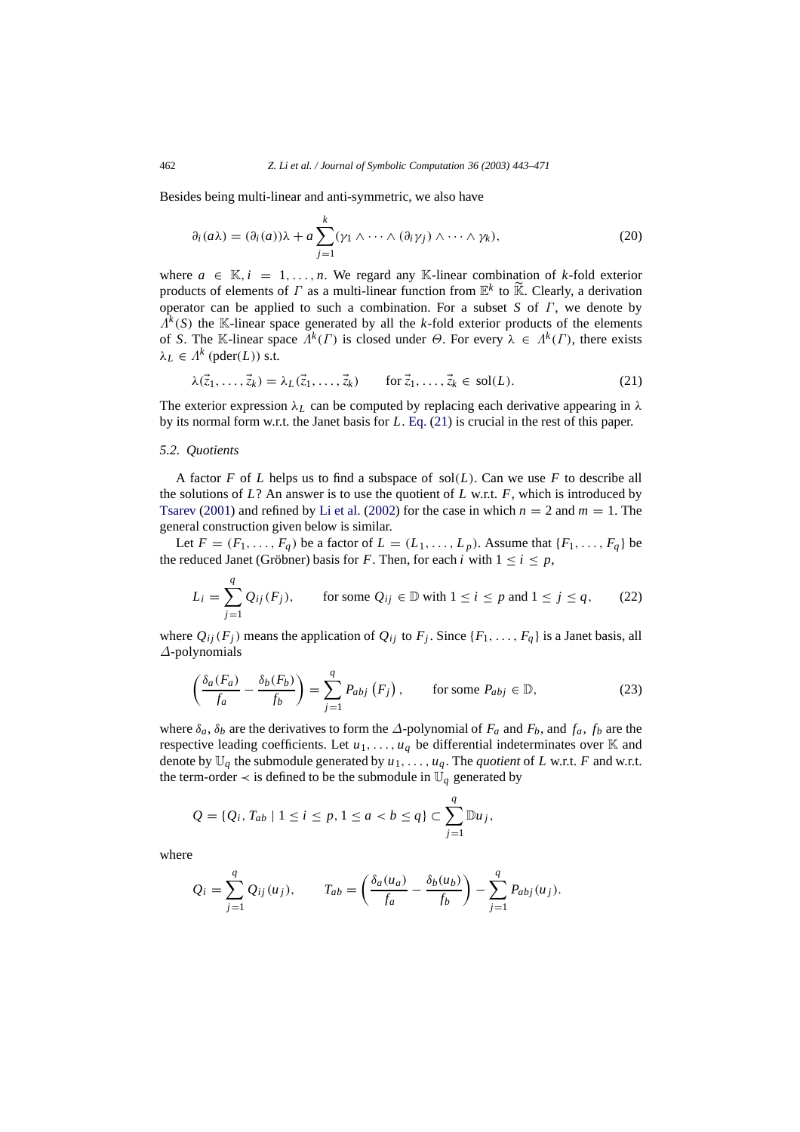Besides being multi-linear and anti-symmetric, we also have

$$
\partial_i(a\lambda) = (\partial_i(a))\lambda + a \sum_{j=1}^k (\gamma_1 \wedge \cdots \wedge (\partial_i \gamma_j) \wedge \cdots \wedge \gamma_k), \qquad (20)
$$

where  $a \in \mathbb{K}$ ,  $i = 1, \ldots, n$ . We regard any K-linear combination of *k*-fold exterior products of elements of  $\Gamma$  as a multi-linear function from  $\mathbb{E}^k$  to  $\widetilde{\mathbb{K}}$ . Clearly, a derivation operator can be applied to such a combination. For a subset *S* of Γ, we denote by  $\Lambda^k(S)$  the K-linear space generated by all the *k*-fold exterior products of the elements of *S*. The K-linear space  $\Lambda^k(\Gamma)$  is closed under  $\Theta$ . For every  $\lambda \in \Lambda^k(\Gamma)$ , there exists  $\lambda_L \in \Lambda^k$  (pder(*L*)) s.t.

<span id="page-19-1"></span>
$$
\lambda(\vec{z}_1,\ldots,\vec{z}_k) = \lambda_L(\vec{z}_1,\ldots,\vec{z}_k) \qquad \text{for } \vec{z}_1,\ldots,\vec{z}_k \in \text{sol}(L). \tag{21}
$$

The exterior expression  $\lambda_L$  can be computed by replacing each derivative appearing in  $\lambda$ by its normal form w.r.t. the Janet basis for *L*. [Eq.](#page-19-1) [\(21\)](#page-19-1) is crucial in the rest of this paper.

#### <span id="page-19-0"></span>*5.2. Quotients*

A factor  $F$  of  $L$  helps us to find a subspace of sol $(L)$ . Can we use  $F$  to describe all the solutions of *L*? An answer is to use the quotient of *L* w.r.t. *F*, which is introduced by [Tsarev](#page-28-3) [\(2001\)](#page-28-3) and refined by [Li et al.](#page-28-4) [\(2002](#page-28-4)) for the case in which  $n = 2$  and  $m = 1$ . The general construction given below is similar.

Let  $F = (F_1, \ldots, F_q)$  be a factor of  $L = (L_1, \ldots, L_p)$ . Assume that  $\{F_1, \ldots, F_q\}$  be the reduced Janet (Gröbner) basis for *F*. Then, for each *i* with  $1 \le i \le p$ ,

<span id="page-19-2"></span>
$$
L_i = \sum_{j=1}^{q} Q_{ij}(F_j), \qquad \text{for some } Q_{ij} \in \mathbb{D} \text{ with } 1 \le i \le p \text{ and } 1 \le j \le q, \qquad (22)
$$

<span id="page-19-3"></span>where  $Q_{ij}(F_j)$  means the application of  $Q_{ij}$  to  $F_j$ . Since  $\{F_1, \ldots, F_q\}$  is a Janet basis, all ∆-polynomials

$$
\left(\frac{\delta_a(F_a)}{f_a} - \frac{\delta_b(F_b)}{f_b}\right) = \sum_{j=1}^q P_{abj}\left(F_j\right), \qquad \text{for some } P_{abj} \in \mathbb{D},\tag{23}
$$

where  $\delta_a$ ,  $\delta_b$  are the derivatives to form the  $\Delta$ -polynomial of  $F_a$  and  $F_b$ , and  $f_a$ ,  $f_b$  are the respective leading coefficients. Let  $u_1, \ldots, u_q$  be differential indeterminates over K and denote by  $\mathbb{U}_q$  the submodule generated by  $u_1, \ldots, u_q$ . The *quotient* of *L* w.r.t. *F* and w.r.t. the term-order  $\prec$  is defined to be the submodule in  $\mathbb{U}_q$  generated by

$$
Q = \{Q_i, T_{ab} \mid 1 \le i \le p, 1 \le a < b \le q\} \subset \sum_{j=1}^q \mathbb{D} u_j,
$$

where

$$
Q_i = \sum_{j=1}^q Q_{ij}(u_j), \qquad T_{ab} = \left(\frac{\delta_a(u_a)}{f_a} - \frac{\delta_b(u_b)}{f_b}\right) - \sum_{j=1}^q P_{abj}(u_j).
$$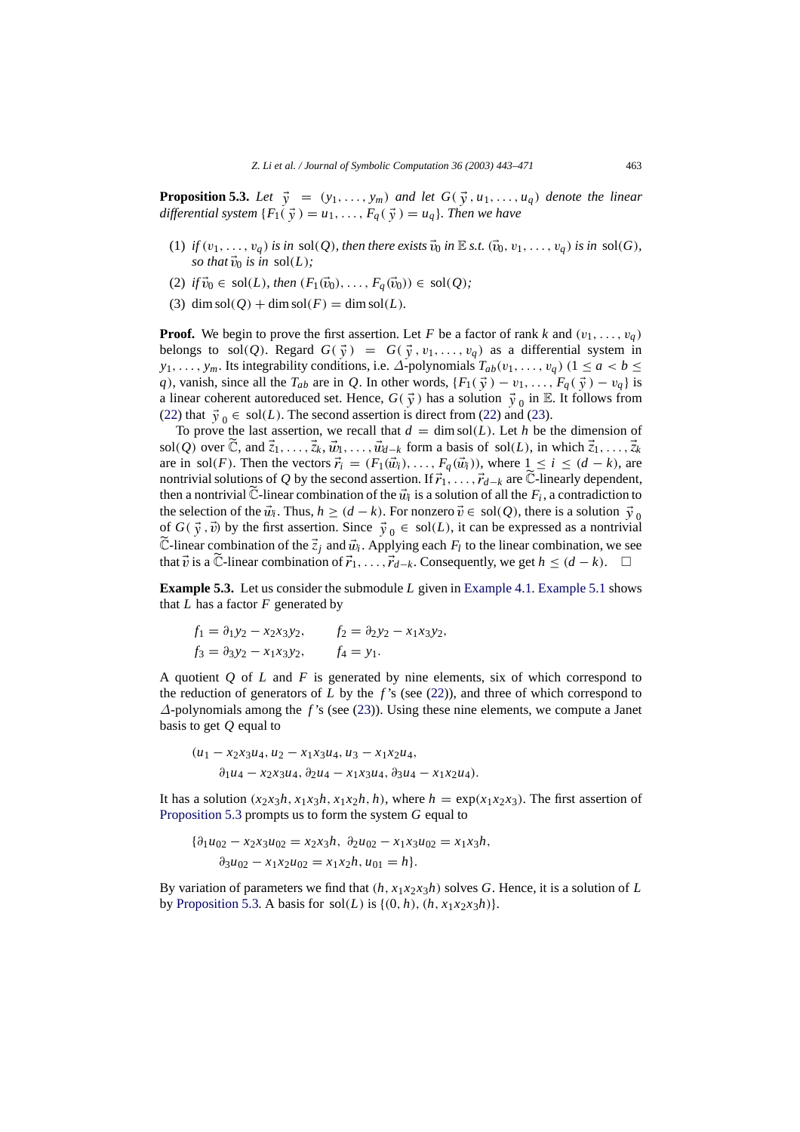<span id="page-20-0"></span>**Proposition 5.3.** Let  $\vec{y} = (y_1, \ldots, y_m)$  and let  $G(\vec{y}, u_1, \ldots, u_q)$  denote the linear *differential system*  $\{F_1(\vec{y}) = u_1, \ldots, F_q(\vec{y}) = u_q\}$ *. Then we have* 

- (1) *if*  $(v_1, \ldots, v_q)$  *is in* sol(*Q*)*, then there exists*  $\vec{v}_0$  *in*  $\mathbb E$  *s.t.*  $(\vec{v}_0, v_1, \ldots, v_q)$  *is in* sol(*G*)*, so that*  $\vec{v}_0$  *is in* sol(*L*);
- (2) *if*  $\vec{v}_0 \in \text{sol}(L)$ *, then*  $(F_1(\vec{v}_0), \ldots, F_q(\vec{v}_0)) \in \text{sol}(Q)$ *;*
- (3) dim sol( $Q$ ) + dim sol( $F$ ) = dim sol( $L$ )*.*

**Proof.** We begin to prove the first assertion. Let *F* be a factor of rank *k* and  $(v_1, \ldots, v_q)$ belongs to sol(Q). Regard  $G(\vec{y}) = G(\vec{y}, v_1, \ldots, v_q)$  as a differential system in *y*<sub>1</sub>, ..., *y<sub>m</sub>*. Its integrability conditions, i.e.  $\Delta$ -polynomials  $T_{ab}(v_1,\ldots,v_q)$  (1 ≤ *a* < *b* ≤ *q*), vanish, since all the  $T_{ab}$  are in *Q*. In other words,  $\{F_1(\vec{y}) - v_1, \ldots, F_q(\vec{y}) - v_q\}$  is a linear coherent autoreduced set. Hence,  $G(\vec{y})$  has a solution  $\vec{y}_0$  in E. It follows from [\(22\)](#page-19-2) that  $\vec{y}_0 \in sol(L)$ . The second assertion is direct from [\(22\)](#page-19-2) and [\(23\)](#page-19-3).

To prove the last assertion, we recall that  $d = \dim \text{sol}(L)$ . Let *h* be the dimension of sol(*Q*) over  $\tilde{C}$ , and  $\vec{z}_1, \ldots, \vec{z}_k, \vec{w}_1, \ldots, \vec{w}_{d-k}$  form a basis of sol(*L*), in which  $\vec{z}_1, \ldots, \vec{z}_k$ are in sol(*F*). Then the vectors  $\vec{r}_i = (F_1(\vec{w}_i), \dots, F_q(\vec{w}_i))$ , where  $1 \leq i \leq (d - k)$ , are nontrivial solutions of *Q* by the second assertion. If  $\vec{r}_1, \ldots, \vec{r}_{d-k}$  are  $\tilde{\mathbb{C}}$ -linearly dependent, then a nontrivial  $\tilde{\mathbb{C}}$ -linear combination of the  $\vec{w}_i$  is a solution of all the  $F_i$ , a contradiction to the selection of the  $\vec{w}_i$ . Thus,  $h \geq (d - k)$ . For nonzero  $\vec{v} \in sol(Q)$ , there is a solution  $\vec{v}_0$ of  $G(\vec{y}, \vec{v})$  by the first assertion. Since  $\vec{y}_0 \in sol(L)$ , it can be expressed as a nontrivial  $\tilde{\mathbb{C}}$ -linear combination of the  $\vec{z}_j$  and  $\vec{w}_i$ . Applying each  $F_l$  to the linear combination, we see that  $\vec{v}$  is a C-linear combination of  $\vec{r}_1, \ldots, \vec{r}_{d-k}$ . Consequently, we get  $h \leq (d-k)$ .  $\Box$ 

**Example 5.3.** Let us consider the submodule *L* given in [Example 4.1.](#page-17-2) [Example 5.1](#page-18-0) shows that  $L$  has a factor  $F$  generated by

<span id="page-20-1"></span>
$$
f_1 = \partial_1 y_2 - x_2 x_3 y_2, \qquad f_2 = \partial_2 y_2 - x_1 x_3 y_2, f_3 = \partial_3 y_2 - x_1 x_3 y_2, \qquad f_4 = y_1.
$$

A quotient *Q* of *L* and *F* is generated by nine elements, six of which correspond to the reduction of generators of  $L$  by the  $f$ 's (see [\(22\)](#page-19-2)), and three of which correspond to ∆-polynomials among the *f* 's (see [\(23\)](#page-19-3)). Using these nine elements, we compute a Janet basis to get *Q* equal to

$$
(u_1 - x_2x_3u_4, u_2 - x_1x_3u_4, u_3 - x_1x_2u_4, \n\partial_1u_4 - x_2x_3u_4, \partial_2u_4 - x_1x_3u_4, \partial_3u_4 - x_1x_2u_4).
$$

It has a solution  $(x_2x_3h, x_1x_3h, x_1x_2h, h)$ , where  $h = \exp(x_1x_2x_3)$ . The first assertion of [Proposition 5.3](#page-20-0) prompts us to form the system *G* equal to

$$
\{\partial_1 u_{02} - x_2 x_3 u_{02} = x_2 x_3 h, \ \partial_2 u_{02} - x_1 x_3 u_{02} = x_1 x_3 h, \n\partial_3 u_{02} - x_1 x_2 u_{02} = x_1 x_2 h, u_{01} = h\}.
$$

By variation of parameters we find that  $(h, x_1x_2x_3h)$  solves *G*. Hence, it is a solution of *L* by [Proposition 5.3.](#page-20-0) A basis for sol $(L)$  is  $\{(0, h), (h, x_1x_2x_3h)\}.$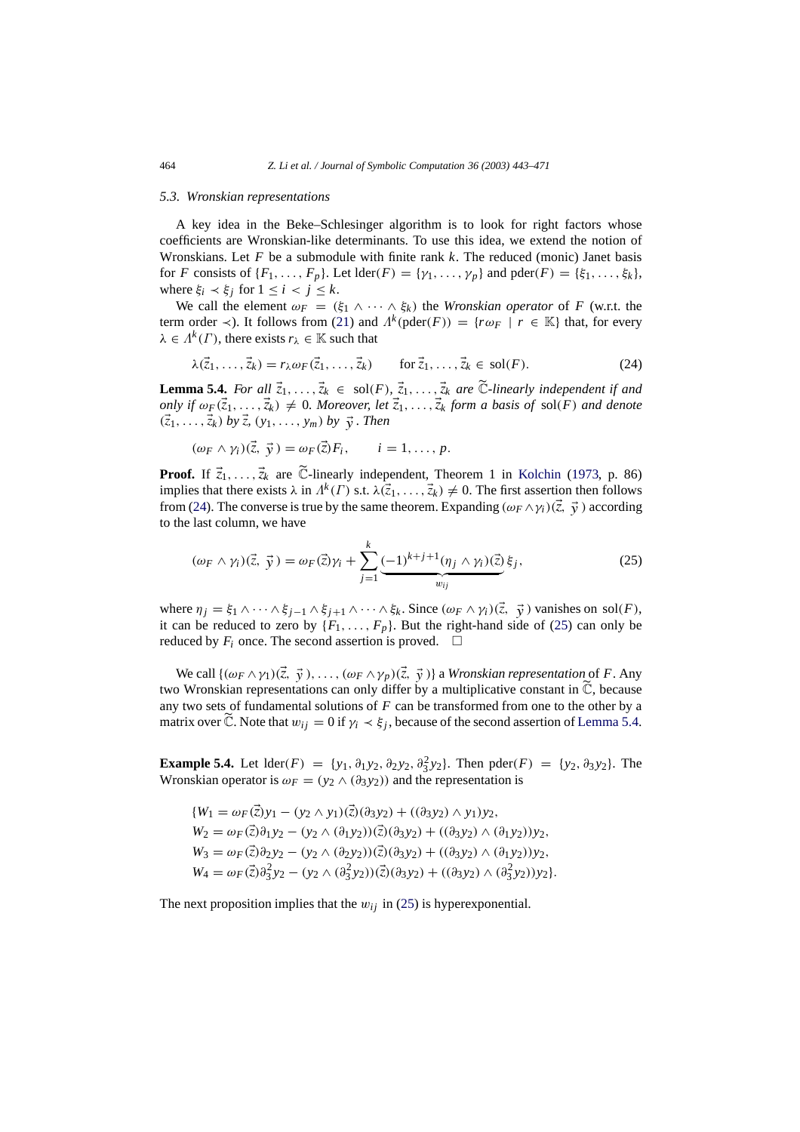#### <span id="page-21-0"></span>*5.3. Wronskian representations*

A key idea in the Beke–Schlesinger algorithm is to look for right factors whose coefficients are Wronskian-like determinants. To use this idea, we extend the notion of Wronskians. Let *F* be a submodule with finite rank *k*. The reduced (monic) Janet basis for *F* consists of  $\{F_1, \ldots, F_p\}$ . Let  $\text{lder}(F) = \{\gamma_1, \ldots, \gamma_p\}$  and  $\text{pder}(F) = \{\xi_1, \ldots, \xi_k\}$ , where  $\xi_i \prec \xi_j$  for  $1 \leq i \leq j \leq k$ .

We call the element  $\omega_F = (\xi_1 \wedge \cdots \wedge \xi_k)$  the *Wronskian operator* of *F* (w.r.t. the term order  $\prec$ ). It follows from [\(21\)](#page-19-1) and  $\Lambda^k$  (pder(*F*)) = { $r \omega_F$  |  $r \in \mathbb{K}$ } that, for every  $\lambda \in \Lambda^k(\Gamma)$ , there exists  $r_{\lambda} \in \mathbb{K}$  such that

$$
\lambda(\vec{z}_1,\ldots,\vec{z}_k) = r_{\lambda}\omega_F(\vec{z}_1,\ldots,\vec{z}_k) \qquad \text{for } \vec{z}_1,\ldots,\vec{z}_k \in \text{sol}(F). \tag{24}
$$

<span id="page-21-2"></span>**Lemma 5.4.** *For all*  $\vec{z}_1, \ldots, \vec{z}_k \in \text{sol}(F), \vec{z}_1, \ldots, \vec{z}_k$  *are*  $\vec{C}$ *-linearly independent if and only if*  $\omega_F(\vec{z}_1,\ldots,\vec{z}_k) \neq 0$ *. Moreover, let*  $\vec{z}_1,\ldots,\vec{z}_k$  *form a basis of* sol(*F*) *and denote*  $({\vec z}_1, \ldots, {\vec z}_k)$  *by*  ${\vec z}_r$  (*y*<sub>1</sub>, ..., *y*<sub>m</sub>) *by*  ${\vec y}$ . *Then* 

$$
(\omega_F \wedge \gamma_i)(\vec{z}, \vec{y}) = \omega_F(\vec{z})F_i, \qquad i = 1, \ldots, p.
$$

**Proof.** If  $\vec{z}_1, \ldots, \vec{z}_k$  are  $\widetilde{\mathbb{C}}$ -linearly independent, Theorem 1 in [Kolchin](#page-28-5) [\(1973](#page-28-5), p. 86) implies that there exists  $\lambda$  in  $\Lambda^k(\Gamma)$  s.t.  $\lambda(\vec{z}_1,\ldots,\vec{z}_k) \neq 0$ . The first assertion then follows from [\(24\)](#page-20-1). The converse is true by the same theorem. Expanding  $(\omega_F \wedge \gamma_i)(\vec{\zeta}, \vec{y})$  according to the last column, we have

<span id="page-21-1"></span>
$$
(\omega_F \wedge \gamma_i)(\vec{z}, \vec{y}) = \omega_F(\vec{z})\gamma_i + \sum_{j=1}^k \underbrace{(-1)^{k+j+1}(\eta_j \wedge \gamma_i)(\vec{z})}_{w_{ij}}\xi_j,
$$
\n(25)

where  $\eta_j = \xi_1 \wedge \cdots \wedge \xi_{j-1} \wedge \xi_{j+1} \wedge \cdots \wedge \xi_k$ . Since  $(\omega_F \wedge \gamma_i)(\vec{z}, \vec{y})$  vanishes on sol(*F*), it can be reduced to zero by  $\{F_1, \ldots, F_p\}$ . But the right-hand side of [\(25\)](#page-21-1) can only be reduced by  $F_i$  once. The second assertion is proved.  $\Box$ 

We call  $\{(\omega_F \wedge \gamma_1)(\vec{\zeta}, \vec{\gamma}), \ldots, (\omega_F \wedge \gamma_p)(\vec{\zeta}, \vec{\gamma})\}$  a *Wronskian representation* of *F*. Any two Wronskian representations can only differ by a multiplicative constant in  $\widetilde{\mathbb{C}}$ , because any two sets of fundamental solutions of *F* can be transformed from one to the other by a matrix over  $\tilde{\mathbb{C}}$ . Note that  $w_{ij} = 0$  if  $\gamma_i \prec \xi_j$ , because of the second assertion of [Lemma 5.4.](#page-21-2)

<span id="page-21-4"></span>**Example 5.4.** Let  $\text{lder}(F) = \{y_1, \partial_1 y_2, \partial_2 y_2, \partial_3^2 y_2\}$ . Then  $\text{pder}(F) = \{y_2, \partial_3 y_2\}$ . The Wronskian operator is  $\omega_F = (y_2 \wedge (\partial_3 y_2))$  and the representation is

<span id="page-21-3"></span>
$$
\{W_1 = \omega_F(\vec{z})y_1 - (y_2 \wedge y_1)(\vec{z})(\partial_3 y_2) + ((\partial_3 y_2) \wedge y_1)y_2, \nW_2 = \omega_F(\vec{z})\partial_1 y_2 - (y_2 \wedge (\partial_1 y_2))(\vec{z})(\partial_3 y_2) + ((\partial_3 y_2) \wedge (\partial_1 y_2))y_2, \nW_3 = \omega_F(\vec{z})\partial_2 y_2 - (y_2 \wedge (\partial_2 y_2))(\vec{z})(\partial_3 y_2) + ((\partial_3 y_2) \wedge (\partial_1 y_2))y_2, \nW_4 = \omega_F(\vec{z})\partial_3^2 y_2 - (y_2 \wedge (\partial_3^2 y_2))(\vec{z})(\partial_3 y_2) + ((\partial_3 y_2) \wedge (\partial_3^2 y_2))y_2\}.
$$

The next proposition implies that the  $w_{ij}$  in [\(25\)](#page-21-1) is hyperexponential.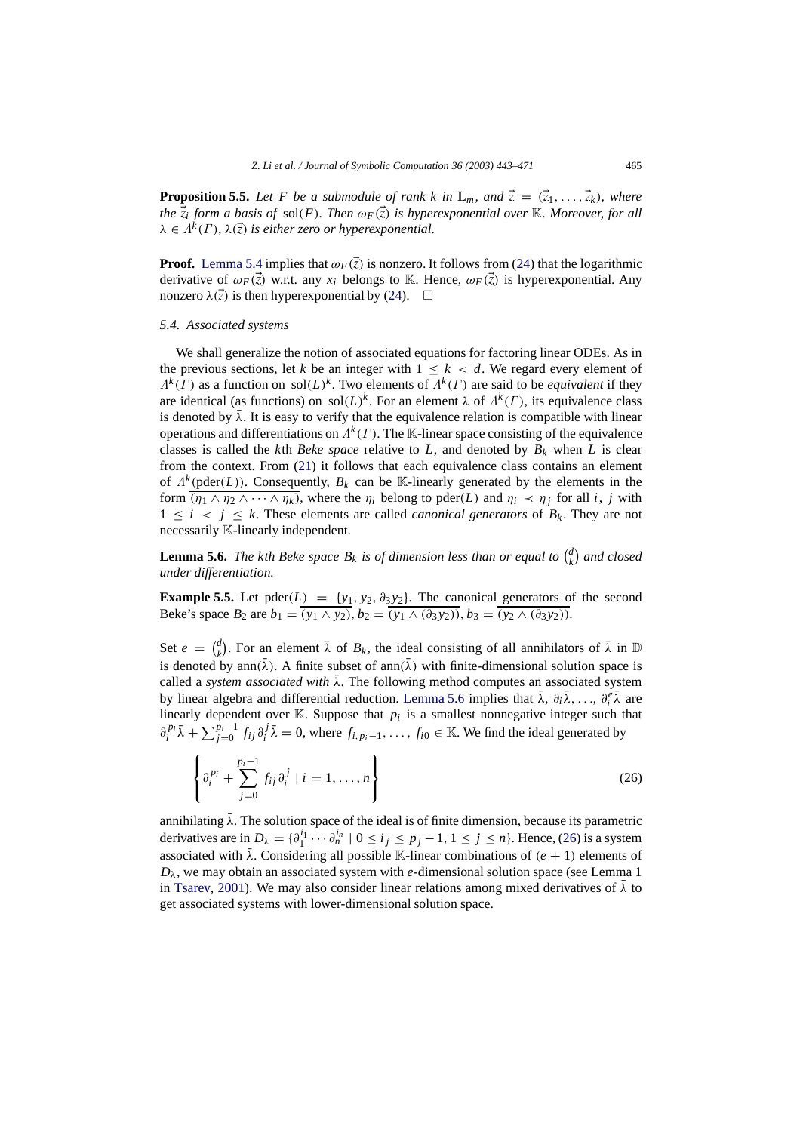<span id="page-22-3"></span>**Proposition 5.5.** Let F be a submodule of rank k in  $\mathbb{L}_m$ , and  $\vec{z} = (\vec{z}_1, \ldots, \vec{z}_k)$ , where *the*  $\overline{z_i}$  *form a basis of sol(F). Then*  $\omega_F(\overline{z})$  *is hyperexponential over* K*. Moreover, for all*  $\lambda \in \Lambda^k(\Gamma)$ ,  $\lambda(\vec{z})$  *is either zero or hyperexponential.* 

**Proof.** [Lemma 5.4](#page-21-2) implies that  $\omega_F(\vec{z})$  is nonzero. It follows from [\(24\)](#page-20-1) that the logarithmic derivative of  $\omega_F(\vec{z})$  w.r.t. any  $x_i$  belongs to K. Hence,  $\omega_F(\vec{z})$  is hyperexponential. Any nonzero  $\lambda(\vec{z})$  is then hyperexponential by [\(24\)](#page-20-1).  $\Box$ 

#### <span id="page-22-0"></span>*5.4. Associated systems*

We shall generalize the notion of associated equations for factoring linear ODEs. As in the previous sections, let *k* be an integer with  $1 \leq k \leq d$ . We regard every element of  $\Lambda^k(\Gamma)$  as a function on sol( $L$ )<sup>k</sup>. Two elements of  $\Lambda^k(\Gamma)$  are said to be *equivalent* if they are identical (as functions) on sol $(L)^k$ . For an element  $\lambda$  of  $\Lambda^k(\Gamma)$ , its equivalence class is denoted by  $\bar{\lambda}$ . It is easy to verify that the equivalence relation is compatible with linear operations and differentiations on  $\Lambda^k(\Gamma)$ . The K-linear space consisting of the equivalence classes is called the *k*th *Beke space* relative to *L*, and denoted by  $B_k$  when *L* is clear from the context. From [\(21\)](#page-19-1) it follows that each equivalence class contains an element of  $\Lambda^k$  (pder(*L*)). Consequently,  $B_k$  can be K-linearly generated by the elements in the form  $(\eta_1 \wedge \eta_2 \wedge \cdots \wedge \eta_k)$ , where the  $\eta_i$  belong to pder(*L*) and  $\eta_i \prec \eta_j$  for all *i*, *j* with  $1 \leq i \leq j \leq k$ . These elements are called *canonical generators* of  $B_k$ . They are not necessarily K-linearly independent.

<span id="page-22-1"></span>**Lemma 5.6.** *The kth Beke space*  $B_k$  *is of dimension less than or equal to*  $\binom{d}{k}$  and closed *under differentiation.*

<span id="page-22-2"></span>**Example 5.5.** Let  $\text{pder}(L) = \{y_1, y_2, \partial_3 y_2\}$ . The canonical generators of the second Beke's space  $B_2$  are  $b_1 = (y_1 \wedge y_2), b_2 = (y_1 \wedge (\partial_3 y_2)), b_3 = (y_2 \wedge (\partial_3 y_2)).$ 

Set  $e = \begin{pmatrix} d \\ k \end{pmatrix}$ . For an element  $\overline{\lambda}$  of  $B_k$ , the ideal consisting of all annihilators of  $\overline{\lambda}$  in  $\mathbb D$ is denoted by ann( $\bar{\lambda}$ ). A finite subset of ann( $\bar{\lambda}$ ) with finite-dimensional solution space is called a *system associated with*  $\bar{\lambda}$ . The following method computes an associated system by linear algebra and differential reduction. [Lemma 5.6](#page-22-1) implies that  $\bar{\lambda}$ ,  $\partial_i \bar{\lambda}$ , ...,  $\partial_i^e \bar{\lambda}$  are linearly dependent over  $K$ . Suppose that  $p_i$  is a smallest nonnegative integer such that  $\partial_i^{p_i} \bar{\lambda} + \sum_{j=0}^{p_i-1} f_{ij} \partial_i^j \bar{\lambda} = 0$ , where  $f_{i,p_i-1}, \ldots, f_{i0} \in \mathbb{K}$ . We find the ideal generated by

$$
\left\{ \partial_i^{p_i} + \sum_{j=0}^{p_i - 1} f_{ij} \partial_i^j \mid i = 1, ..., n \right\}
$$
 (26)

annihilating  $\bar{\lambda}$ . The solution space of the ideal is of finite dimension, because its parametric derivatives are in  $D_{\lambda} = \{ \partial_1^{i_1} \cdots \partial_n^{i_n} \mid 0 \le i_j \le p_j - 1, 1 \le j \le n \}$ . Hence, [\(26\)](#page-21-3) is a system associated with  $\bar{\lambda}$ . Considering all possible K-linear combinations of  $(e + 1)$  elements of  $D_{\lambda}$ , we may obtain an associated system with *e*-dimensional solution space (see Lemma 1) in [Tsarev,](#page-28-3) [2001\)](#page-28-3). We may also consider linear relations among mixed derivatives of  $\bar{\lambda}$  to get associated systems with lower-dimensional solution space.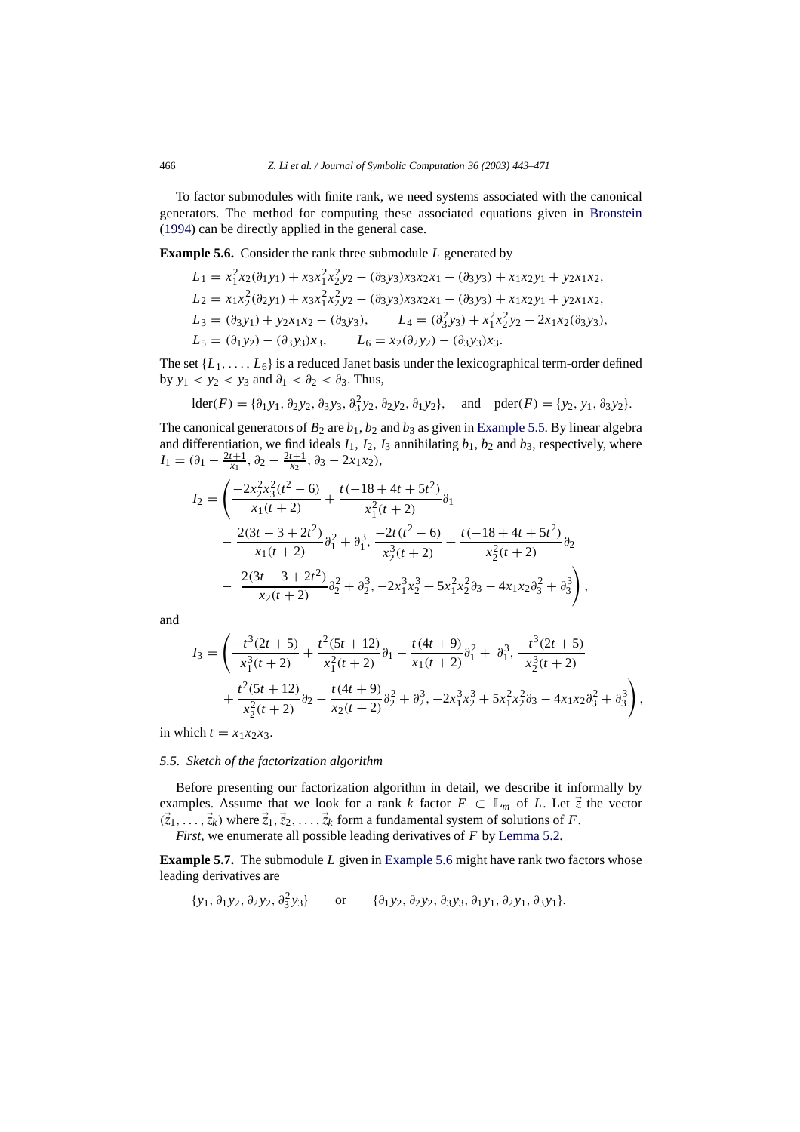To factor submodules with finite rank, we need systems associated with the canonical generators. The method for computing these associated equations given in [Bronstein](#page-27-3) [\(1994](#page-27-3)) can be directly applied in the general case.

**Example 5.6.** Consider the rank three submodule *L* generated by

<span id="page-23-2"></span><span id="page-23-1"></span>
$$
L_1 = x_1^2 x_2 (\partial_1 y_1) + x_3 x_1^2 x_2^2 y_2 - (\partial_3 y_3) x_3 x_2 x_1 - (\partial_3 y_3) + x_1 x_2 y_1 + y_2 x_1 x_2,
$$
  
\n
$$
L_2 = x_1 x_2^2 (\partial_2 y_1) + x_3 x_1^2 x_2^2 y_2 - (\partial_3 y_3) x_3 x_2 x_1 - (\partial_3 y_3) + x_1 x_2 y_1 + y_2 x_1 x_2,
$$
  
\n
$$
L_3 = (\partial_3 y_1) + y_2 x_1 x_2 - (\partial_3 y_3), \qquad L_4 = (\partial_3^2 y_3) + x_1^2 x_2^2 y_2 - 2x_1 x_2 (\partial_3 y_3),
$$
  
\n
$$
L_5 = (\partial_1 y_2) - (\partial_3 y_3) x_3, \qquad L_6 = x_2 (\partial_2 y_2) - (\partial_3 y_3) x_3.
$$

The set  $\{L_1, \ldots, L_6\}$  is a reduced Janet basis under the lexicographical term-order defined by  $y_1 < y_2 < y_3$  and  $\partial_1 < \partial_2 < \partial_3$ . Thus,

$$
lder(F) = \{ \partial_1 y_1, \partial_2 y_2, \partial_3 y_3, \partial_3^2 y_2, \partial_2 y_2, \partial_1 y_2 \}, \text{ and } pder(F) = \{ y_2, y_1, \partial_3 y_2 \}.
$$

The canonical generators of  $B_2$  are  $b_1$ ,  $b_2$  and  $b_3$  as given in [Example 5.5.](#page-22-2) By linear algebra and differentiation, we find ideals  $I_1$ ,  $I_2$ ,  $I_3$  annihilating  $b_1$ ,  $b_2$  and  $b_3$ , respectively, where  $I_1 = (\partial_1 - \frac{2t+1}{x_1}, \partial_2 - \frac{2t+1}{x_2}, \partial_3 - 2x_1x_2),$ 

$$
I_2 = \left(\frac{-2x_2^2x_3^2(t^2-6)}{x_1(t+2)} + \frac{t(-18+4t+5t^2)}{x_1^2(t+2)}\partial_1\right)
$$
  
 
$$
-\frac{2(3t-3+2t^2)}{x_1(t+2)}\partial_1^2 + \partial_1^3, \frac{-2t(t^2-6)}{x_2^3(t+2)} + \frac{t(-18+4t+5t^2)}{x_2^2(t+2)}\partial_2\right)
$$
  
 
$$
-\frac{2(3t-3+2t^2)}{x_2(t+2)}\partial_2^2 + \partial_2^3, -2x_1^3x_2^3 + 5x_1^2x_2^2\partial_3 - 4x_1x_2\partial_3^2 + \partial_3^3\right),
$$

and

$$
I_3 = \left(\frac{-t^3(2t+5)}{x_1^3(t+2)} + \frac{t^2(5t+12)}{x_1^2(t+2)}\partial_1 - \frac{t(4t+9)}{x_1(t+2)}\partial_1^2 + \partial_1^3, \frac{-t^3(2t+5)}{x_2^3(t+2)} + \frac{t^2(5t+12)}{x_2^2(t+2)}\partial_2 - \frac{t(4t+9)}{x_2(t+2)}\partial_2^2 + \partial_2^3, -2x_1^3x_2^3 + 5x_1^2x_2^2\partial_3 - 4x_1x_2\partial_3^2 + \partial_3^3\right),
$$

<span id="page-23-0"></span>in which  $t = x_1x_2x_3$ .

#### *5.5. Sketch of the factorization algorithm*

Before presenting our factorization algorithm in detail, we describe it informally by examples. Assume that we look for a rank *k* factor  $F \subset \mathbb{L}_m$  of *L*. Let  $\vec{z}$  the vector  $(\vec{z}_1,\ldots,\vec{z}_k)$  where  $\vec{z}_1,\vec{z}_2,\ldots,\vec{z}_k$  form a fundamental system of solutions of *F*. *First*, we enumerate all possible leading derivatives of *F* by [Lemma 5.2.](#page-18-1)

**Example 5.7.** The submodule *L* given in [Example 5.6](#page-23-1) might have rank two factors whose leading derivatives are

{*y*1, ∂<sup>1</sup> *y*2, ∂<sup>2</sup> *y*2, ∂<sup>2</sup> <sup>3</sup> *y*3} or {∂<sup>1</sup> *y*2, ∂<sup>2</sup> *y*2, ∂<sup>3</sup> *y*3, ∂<sup>1</sup> *y*1, ∂<sup>2</sup> *y*1, ∂<sup>3</sup> *y*1}.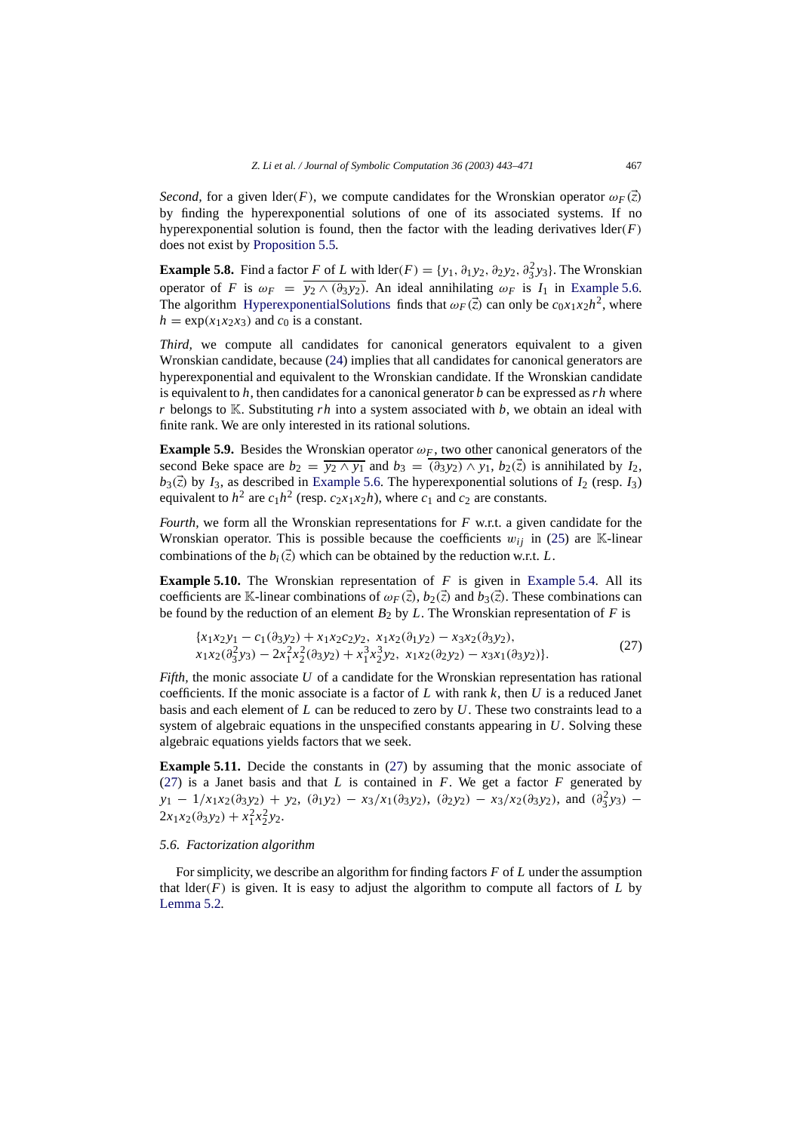*Second,* for a given lder(*F*), we compute candidates for the Wronskian operator  $\omega_F(\vec{z})$ by finding the hyperexponential solutions of one of its associated systems. If no hyperexponential solution is found, then the factor with the leading derivatives  $\text{lder}(F)$ does not exist by [Proposition 5.5.](#page-22-3)

**Example 5.8.** Find a factor *F* of *L* with  $\text{lder}(F) = \{y_1, \partial_1 y_2, \partial_2 y_2, \partial_3^2 y_3\}$ . The Wronskian operator of *F* is  $\omega_F = y_2 \wedge (\partial_3 y_2)$ . An ideal annihilating  $\omega_F$  is *I*<sub>1</sub> in [Example 5.6.](#page-23-1) The algorithm [HyperexponentialSolutions](#page-14-0) finds that  $\omega_F(\vec{z})$  can only be  $c_0x_1x_2h^2$ , where  $h = \exp(x_1 x_2 x_3)$  and  $c_0$  is a constant.

*Third,* we compute all candidates for canonical generators equivalent to a given Wronskian candidate, because [\(24\)](#page-20-1) implies that all candidates for canonical generators are hyperexponential and equivalent to the Wronskian candidate. If the Wronskian candidate is equivalent to *h*, then candidates for a canonical generator *b* can be expressed as*rh* where *r* belongs to K. Substituting *rh* into a system associated with *b*, we obtain an ideal with finite rank. We are only interested in its rational solutions.

**Example 5.9.** Besides the Wronskian operator  $\omega_F$ , two other canonical generators of the second Beke space are  $b_2 = \overline{y_2 \wedge y_1}$  and  $b_3 = (\partial_3 y_2) \wedge y_1$ ,  $b_2(\vec{z})$  is annihilated by  $I_2$ ,  $b_3(\vec{z})$  by  $I_3$ , as described in [Example 5.6.](#page-23-1) The hyperexponential solutions of  $I_2$  (resp.  $I_3$ ) equivalent to  $h^2$  are  $c_1h^2$  (resp.  $c_2x_1x_2h$ ), where  $c_1$  and  $c_2$  are constants.

*Fourth*, we form all the Wronskian representations for *F* w.r.t. a given candidate for the Wronskian operator. This is possible because the coefficients  $w_{ij}$  in [\(25\)](#page-21-1) are K-linear combinations of the  $b_i(\vec{z})$  which can be obtained by the reduction w.r.t. *L*.

**Example 5.10.** The Wronskian representation of *F* is given in [Example 5.4.](#page-21-4) All its coefficients are K-linear combinations of  $\omega_F(\vec{z})$ ,  $b_2(\vec{z})$  and  $b_3(\vec{z})$ . These combinations can be found by the reduction of an element  $B_2$  by *L*. The Wronskian representation of *F* is

$$
\{x_1x_2y_1 - c_1(\partial_3y_2) + x_1x_2c_2y_2, x_1x_2(\partial_1y_2) - x_3x_2(\partial_3y_2), x_1x_2(\partial_3^2y_3) - 2x_1^2x_2^2(\partial_3y_2) + x_1^3x_2^3y_2, x_1x_2(\partial_2y_2) - x_3x_1(\partial_3y_2)\}.
$$
\n(27)

*Fifth,* the monic associate *U* of a candidate for the Wronskian representation has rational coefficients. If the monic associate is a factor of *L* with rank *k*, then *U* is a reduced Janet basis and each element of *L* can be reduced to zero by *U*. These two constraints lead to a system of algebraic equations in the unspecified constants appearing in *U*. Solving these algebraic equations yields factors that we seek.

**Example 5.11.** Decide the constants in [\(27\)](#page-23-2) by assuming that the monic associate of [\(27\)](#page-23-2) is a Janet basis and that  $L$  is contained in  $F$ . We get a factor  $F$  generated by  $y_1 - 1/x_1x_2(\partial_3 y_2) + y_2$ ,  $(\partial_1 y_2) - x_3/x_1(\partial_3 y_2)$ ,  $(\partial_2 y_2) - x_3/x_2(\partial_3 y_2)$ , and  $(\partial_3^2 y_3) 2x_1x_2(\partial_3y_2) + x_1^2x_2^2y_2.$ 

### <span id="page-24-0"></span>*5.6. Factorization algorithm*

For simplicity, we describe an algorithm for finding factors *F* of *L* under the assumption that  $\text{lder}(F)$  is given. It is easy to adjust the algorithm to compute all factors of  $L$  by [Lemma 5.2.](#page-18-1)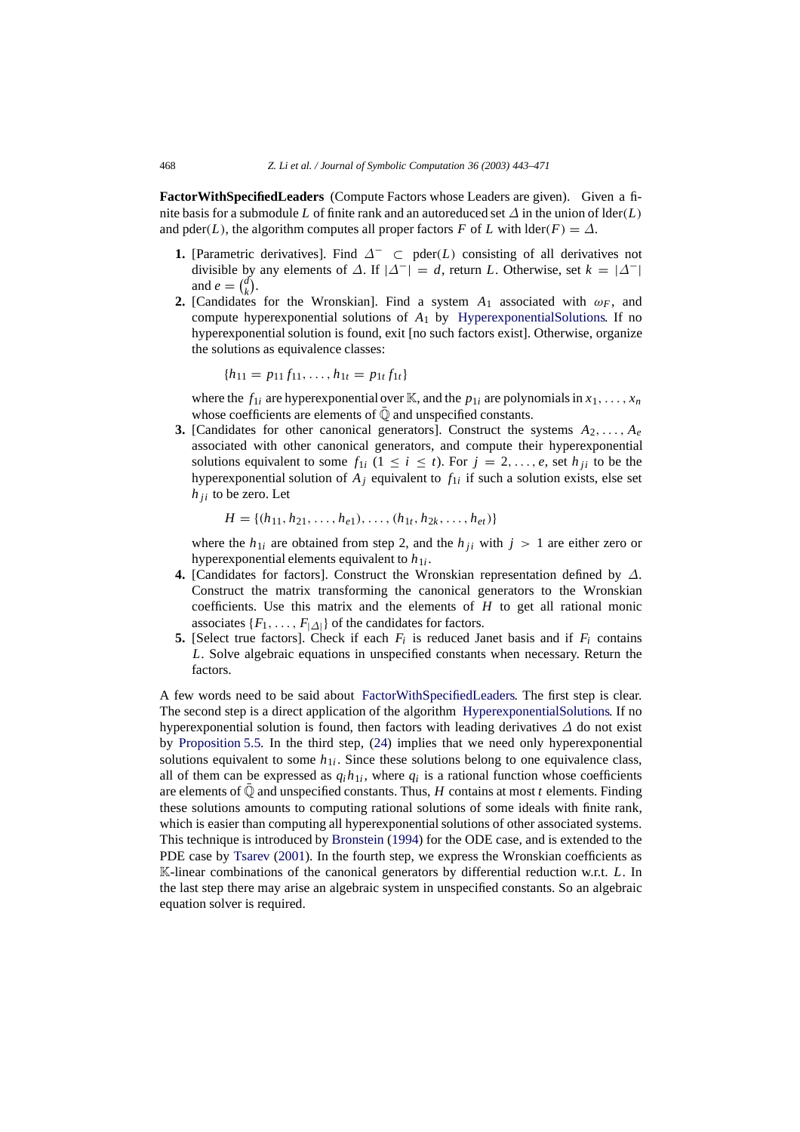**FactorWithSpecifiedLeaders** (Compute Factors whose Leaders are given). Given a finite basis for a submodule *L* of finite rank and an autoreduced set  $\Delta$  in the union of lder(*L*) and pder(*L*), the algorithm computes all proper factors *F* of *L* with  $\text{der}(F) = \Delta$ .

- **1.** [Parametric derivatives]. Find  $\Delta^-$  ⊂ pder(*L*) consisting of all derivatives not divisible by any elements of  $\Delta$ . If  $|\Delta^{-}| = d$ , return *L*. Otherwise, set  $k = |\Delta^{-}|$ and  $e = \begin{pmatrix} d \\ k \end{pmatrix}$ .
- **2.** [Candidates for the Wronskian]. Find a system  $A_1$  associated with  $\omega_F$ , and compute hyperexponential solutions of *A*<sup>1</sup> by [HyperexponentialSolutions.](#page-14-0) If no hyperexponential solution is found, exit [no such factors exist]. Otherwise, organize the solutions as equivalence classes:

<span id="page-25-0"></span>
$$
\{h_{11} = p_{11}f_{11}, \ldots, h_{1t} = p_{1t}f_{1t}\}
$$

where the  $f_{1i}$  are hyperexponential over K, and the  $p_{1i}$  are polynomials in  $x_1, \ldots, x_n$ whose coefficients are elements of  $\mathbb Q$  and unspecified constants.

**3.** [Candidates for other canonical generators]. Construct the systems *A*2,..., *Ae* associated with other canonical generators, and compute their hyperexponential solutions equivalent to some  $f_{1i}$   $(1 \le i \le t)$ . For  $j = 2, \ldots, e$ , set  $h_{ji}$  to be the hyperexponential solution of  $A_j$  equivalent to  $f_{1i}$  if such a solution exists, else set  $h_{ii}$  to be zero. Let

$$
H = \{(h_{11}, h_{21}, \ldots, h_{e1}), \ldots, (h_{1t}, h_{2k}, \ldots, h_{et})\}
$$

where the  $h_{1i}$  are obtained from step 2, and the  $h_{ji}$  with  $j > 1$  are either zero or hyperexponential elements equivalent to  $h_{1i}$ .

- **4.** [Candidates for factors]. Construct the Wronskian representation defined by ∆. Construct the matrix transforming the canonical generators to the Wronskian coefficients. Use this matrix and the elements of *H* to get all rational monic associates  $\{F_1, \ldots, F_{|\Delta|}\}\$  of the candidates for factors.
- **5.** [Select true factors]. Check if each  $F_i$  is reduced Janet basis and if  $F_i$  contains *L*. Solve algebraic equations in unspecified constants when necessary. Return the factors.

A few words need to be said about [FactorWithSpecifiedLeaders.](#page-25-0) The first step is clear. The second step is a direct application of the algorithm [HyperexponentialSolutions.](#page-14-0) If no hyperexponential solution is found, then factors with leading derivatives  $\Delta$  do not exist by [Proposition 5.5.](#page-22-3) In the third step, [\(24\)](#page-20-1) implies that we need only hyperexponential solutions equivalent to some  $h_{1i}$ . Since these solutions belong to one equivalence class, all of them can be expressed as  $q_i h_{1i}$ , where  $q_i$  is a rational function whose coefficients are elements of  $\mathbb Q$  and unspecified constants. Thus, *H* contains at most *t* elements. Finding these solutions amounts to computing rational solutions of some ideals with finite rank, which is easier than computing all hyperexponential solutions of other associated systems. This technique is introduced by [Bronstein](#page-27-3) [\(1994\)](#page-27-3) for the ODE case, and is extended to the PDE case by [Tsarev](#page-28-3) [\(2001\)](#page-28-3). In the fourth step, we express the Wronskian coefficients as K-linear combinations of the canonical generators by differential reduction w.r.t. *L*. In the last step there may arise an algebraic system in unspecified constants. So an algebraic equation solver is required.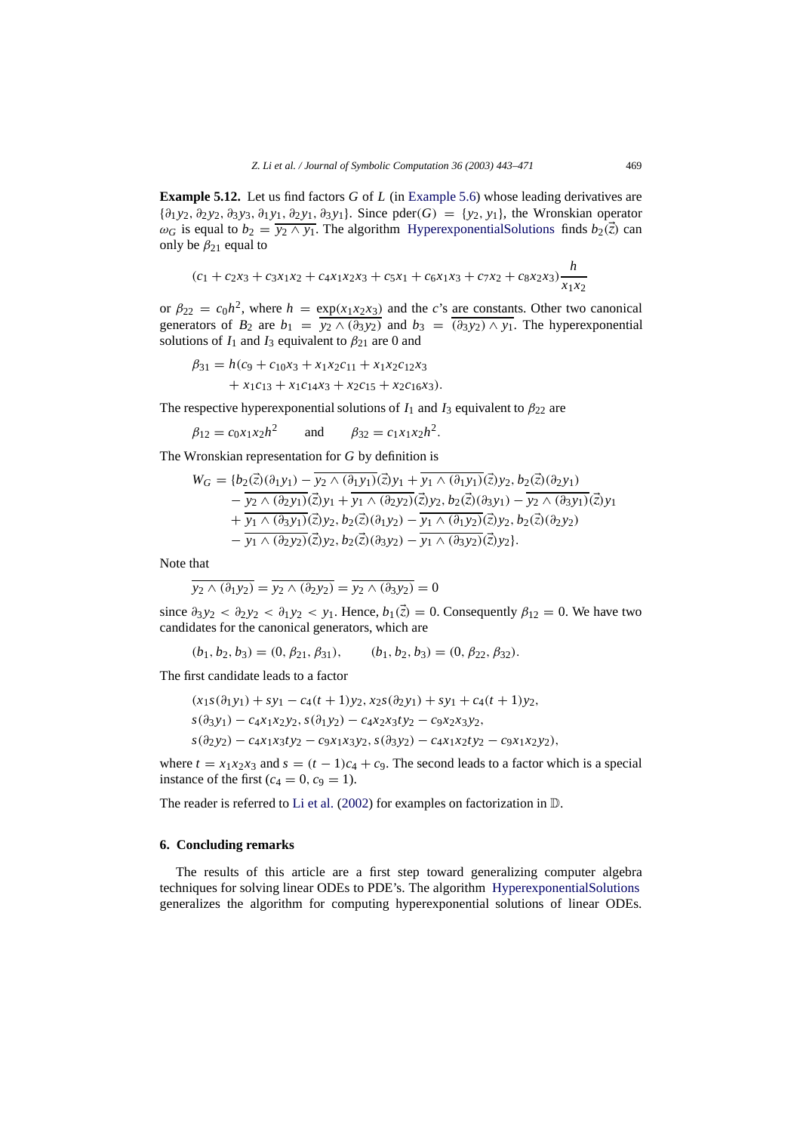**Example 5.12.** Let us find factors *G* of *L* (in [Example 5.6\)](#page-23-1) whose leading derivatives are {∂<sup>1</sup> *y*2, ∂<sup>2</sup> *y*2, ∂<sup>3</sup> *y*3, ∂<sup>1</sup> *y*1, ∂<sup>2</sup> *y*1, ∂<sup>3</sup> *y*1}. Since pder(*G*) = {*y*2, *y*1}, the Wronskian operator  $\omega_G$  is equal to  $b_2 = \overline{y_2 \wedge y_1}$ . The algorithm [HyperexponentialSolutions](#page-14-0) finds  $b_2(\vec{z})$  can only be  $\beta_{21}$  equal to

$$
(c_1 + c_2x_3 + c_3x_1x_2 + c_4x_1x_2x_3 + c_5x_1 + c_6x_1x_3 + c_7x_2 + c_8x_2x_3)\frac{h}{x_1x_2}
$$

or  $\beta_{22} = c_0 h^2$ , where  $h = \exp(x_1 x_2 x_3)$  and the *c*'s are constants. Other two canonical generators of  $B_2$  are  $b_1 = y_2 \wedge (\partial_3 y_2)$  and  $b_3 = (\partial_3 y_2) \wedge y_1$ . The hyperexponential solutions of  $I_1$  and  $I_3$  equivalent to  $\beta_{21}$  are 0 and

$$
\beta_{31} = h(c_9 + c_{10}x_3 + x_1x_2c_{11} + x_1x_2c_{12}x_3 + x_1c_{13} + x_1c_{14}x_3 + x_2c_{15} + x_2c_{16}x_3).
$$

The respective hyperexponential solutions of  $I_1$  and  $I_3$  equivalent to  $\beta_{22}$  are

$$
\beta_{12} = c_0 x_1 x_2 h^2
$$
 and  $\beta_{32} = c_1 x_1 x_2 h^2$ .

The Wronskian representation for *G* by definition is

$$
W_G = \{b_2(\vec{z})(\partial_1 y_1) - y_2 \wedge (\partial_1 y_1)(\vec{z})y_1 + y_1 \wedge (\partial_1 y_1)(\vec{z})y_2, b_2(\vec{z})(\partial_2 y_1) - y_2 \wedge (\partial_2 y_1)(\vec{z})y_1 + y_1 \wedge (\partial_2 y_2)(\vec{z})y_2, b_2(\vec{z})(\partial_3 y_1) - y_2 \wedge (\partial_3 y_1)(\vec{z})y_1 + y_1 \wedge (\partial_3 y_1)(\vec{z})y_2, b_2(\vec{z})(\partial_1 y_2) - y_1 \wedge (\partial_1 y_2)(\vec{z})y_2, b_2(\vec{z})(\partial_2 y_2) - y_1 \wedge (\partial_2 y_2)(\vec{z})y_2, b_2(\vec{z})(\partial_3 y_2) - y_1 \wedge (\partial_3 y_2)(\vec{z})y_2\}.
$$

Note that

$$
\overline{y_2 \wedge (\partial_1 y_2)} = \overline{y_2 \wedge (\partial_2 y_2)} = \overline{y_2 \wedge (\partial_3 y_2)} = 0
$$

since  $\partial_3 y_2 < \partial_2 y_2 < \partial_1 y_2 < y_1$ . Hence,  $b_1(\vec{z}) = 0$ . Consequently  $\beta_{12} = 0$ . We have two candidates for the canonical generators, which are

$$
(b_1, b_2, b_3) = (0, \beta_{21}, \beta_{31}), \qquad (b_1, b_2, b_3) = (0, \beta_{22}, \beta_{32}).
$$

The first candidate leads to a factor

$$
(x_1s(\partial_1y_1) + sy_1 - c_4(t+1)y_2, x_2s(\partial_2y_1) + sy_1 + c_4(t+1)y_2,
$$
  
\n
$$
s(\partial_3y_1) - c_4x_1x_2y_2, s(\partial_1y_2) - c_4x_2x_3ty_2 - c_9x_2x_3y_2,
$$
  
\n
$$
s(\partial_2y_2) - c_4x_1x_3ty_2 - c_9x_1x_3y_2, s(\partial_3y_2) - c_4x_1x_2ty_2 - c_9x_1x_2y_2),
$$

where  $t = x_1x_2x_3$  and  $s = (t - 1)c_4 + c_9$ . The second leads to a factor which is a special instance of the first  $(c_4 = 0, c_9 = 1)$ .

The reader is referred to [Li et al.](#page-28-4) [\(2002](#page-28-4)) for examples on factorization in D.

#### <span id="page-26-0"></span>**6. Concluding remarks**

The results of this article are a first step toward generalizing computer algebra techniques for solving linear ODEs to PDE's. The algorithm [HyperexponentialSolutions](#page-14-0) generalizes the algorithm for computing hyperexponential solutions of linear ODEs.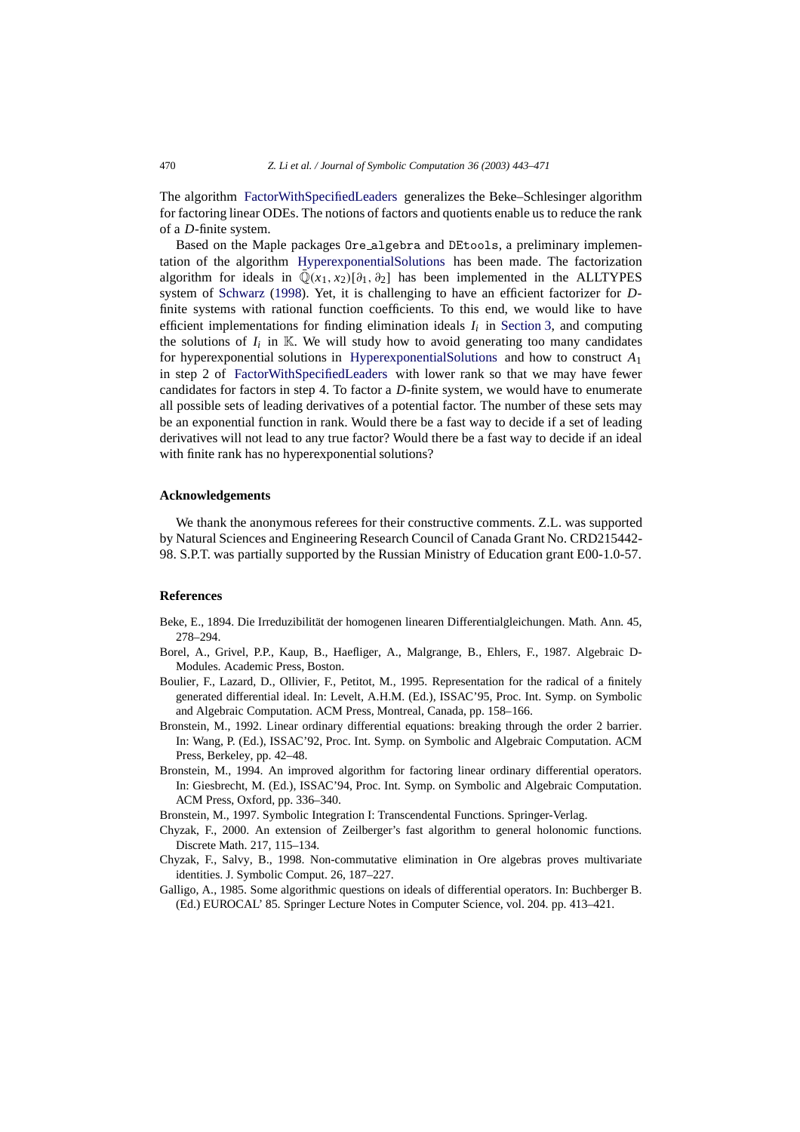The algorithm [FactorWithSpecifiedLeaders](#page-25-0) generalizes the Beke–Schlesinger algorithm for factoring linear ODEs. The notions of factors and quotients enable us to reduce the rank of a *D*-finite system.

Based on the Maple packages Ore algebra and DEtools, a preliminary implementation of the algorithm [HyperexponentialSolutions](#page-14-0) has been made. The factorization algorithm for ideals in  $\overline{Q}(x_1, x_2)[\partial_1, \partial_2]$  has been implemented in the ALLTYPES system of [Schwarz](#page-28-17) [\(1998](#page-28-17)). Yet, it is challenging to have an efficient factorizer for *D*finite systems with rational function coefficients. To this end, we would like to have efficient implementations for finding elimination ideals  $I_i$  in [Section 3,](#page-4-0) and computing the solutions of  $I_i$  in K. We will study how to avoid generating too many candidates for hyperexponential solutions in [HyperexponentialSolutions](#page-14-0) and how to construct *A*<sup>1</sup> in step 2 of [FactorWithSpecifiedLeaders](#page-25-0) with lower rank so that we may have fewer candidates for factors in step 4. To factor a *D*-finite system, we would have to enumerate all possible sets of leading derivatives of a potential factor. The number of these sets may be an exponential function in rank. Would there be a fast way to decide if a set of leading derivatives will not lead to any true factor? Would there be a fast way to decide if an ideal with finite rank has no hyperexponential solutions?

#### **Acknowledgements**

We thank the anonymous referees for their constructive comments. Z.L. was supported by Natural Sciences and Engineering Research Council of Canada Grant No. CRD215442- 98. S.P.T. was partially supported by the Russian Ministry of Education grant E00-1.0-57.

#### **References**

- <span id="page-27-2"></span>Beke, E., 1894. Die Irreduzibilität der homogenen linearen Differentialgleichungen. Math. Ann. 45, 278–294.
- <span id="page-27-4"></span>Borel, A., Grivel, P.P., Kaup, B., Haefliger, A., Malgrange, B., Ehlers, F., 1987. Algebraic D-Modules. Academic Press, Boston.
- <span id="page-27-5"></span>Boulier, F., Lazard, D., Ollivier, F., Petitot, M., 1995. Representation for the radical of a finitely generated differential ideal. In: Levelt, A.H.M. (Ed.), ISSAC'95, Proc. Int. Symp. on Symbolic and Algebraic Computation. ACM Press, Montreal, Canada, pp. 158–166.
- <span id="page-27-7"></span>Bronstein, M., 1992. Linear ordinary differential equations: breaking through the order 2 barrier. In: Wang, P. (Ed.), ISSAC'92, Proc. Int. Symp. on Symbolic and Algebraic Computation. ACM Press, Berkeley, pp. 42–48.
- <span id="page-27-3"></span>Bronstein, M., 1994. An improved algorithm for factoring linear ordinary differential operators. In: Giesbrecht, M. (Ed.), ISSAC'94, Proc. Int. Symp. on Symbolic and Algebraic Computation. ACM Press, Oxford, pp. 336–340.
- <span id="page-27-8"></span><span id="page-27-6"></span>Bronstein, M., 1997. Symbolic Integration I: Transcendental Functions. Springer-Verlag.
- Chyzak, F., 2000. An extension of Zeilberger's fast algorithm to general holonomic functions. Discrete Math. 217, 115–134.
- <span id="page-27-0"></span>Chyzak, F., Salvy, B., 1998. Non-commutative elimination in Ore algebras proves multivariate identities. J. Symbolic Comput. 26, 187–227.
- <span id="page-27-1"></span>Galligo, A., 1985. Some algorithmic questions on ideals of differential operators. In: Buchberger B. (Ed.) EUROCAL' 85. Springer Lecture Notes in Computer Science, vol. 204. pp. 413–421.